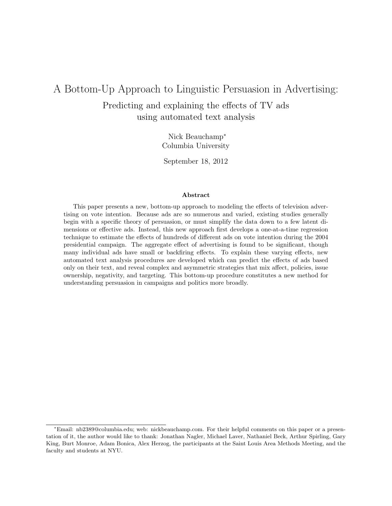# A Bottom-Up Approach to Linguistic Persuasion in Advertising: Predicting and explaining the effects of TV ads using automated text analysis

Nick Beauchamp<sup>∗</sup> Columbia University

September 18, 2012

#### Abstract

This paper presents a new, bottom-up approach to modeling the effects of television advertising on vote intention. Because ads are so numerous and varied, existing studies generally begin with a specific theory of persuasion, or must simplify the data down to a few latent dimensions or effective ads. Instead, this new approach first develops a one-at-a-time regression technique to estimate the effects of hundreds of different ads on vote intention during the 2004 presidential campaign. The aggregate effect of advertising is found to be significant, though many individual ads have small or backfiring effects. To explain these varying effects, new automated text analysis procedures are developed which can predict the effects of ads based only on their text, and reveal complex and asymmetric strategies that mix affect, policies, issue ownership, negativity, and targeting. This bottom-up procedure constitutes a new method for understanding persuasion in campaigns and politics more broadly.

<sup>∗</sup>Email: nb2389@columbia.edu; web: nickbeauchamp.com. For their helpful comments on this paper or a presentation of it, the author would like to thank: Jonathan Nagler, Michael Laver, Nathaniel Beck, Arthur Spirling, Gary King, Burt Monroe, Adam Bonica, Alex Herzog, the participants at the Saint Louis Area Methods Meeting, and the faculty and students at NYU.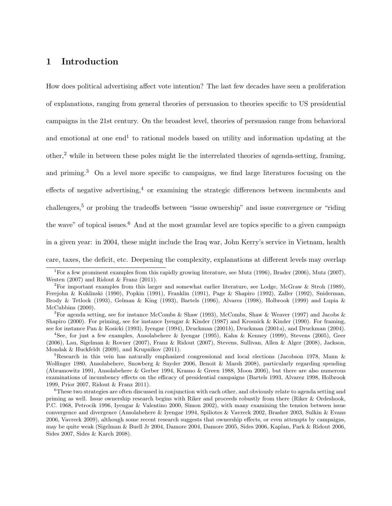# 1 Introduction

How does political advertising affect vote intention? The last few decades have seen a proliferation of explanations, ranging from general theories of persuasion to theories specific to US presidential campaigns in the 21st century. On the broadest level, theories of persuasion range from behavioral and emotional at one end<sup>1</sup> to rational models based on utility and information updating at the other,<sup>2</sup> while in between these poles might lie the interrelated theories of agenda-setting, framing, and priming.<sup>3</sup> On a level more specific to campaigns, we find large literatures focusing on the effects of negative advertising,<sup>4</sup> or examining the strategic differences between incumbents and challengers,<sup>5</sup> or probing the tradeoffs between "issue ownership" and issue convergence or "riding the wave" of topical issues.<sup>6</sup> And at the most granular level are topics specific to a given campaign in a given year: in 2004, these might include the Iraq war, John Kerry's service in Vietnam, health care, taxes, the deficit, etc. Deepening the complexity, explanations at different levels may overlap

<sup>&</sup>lt;sup>1</sup>For a few prominent examples from this rapidly growing literature, see Mutz (1996), Brader (2006), Mutz (2007), Westen (2007) and Ridout & Franz (2011).

<sup>&</sup>lt;sup>2</sup>For important examples from this larger and somewhat earlier literature, see Lodge, McGraw & Stroh (1989), Ferejohn & Kuklinski (1990), Popkin (1991), Franklin (1991), Page & Shapiro (1992), Zaller (1992), Sniderman, Brody & Tetlock (1993), Gelman & King (1993), Bartels (1996), Alvarez (1998), Holbrook (1999) and Lupia & McCubbins (2000).

<sup>&</sup>lt;sup>3</sup>For agenda setting, see for instance McCombs & Shaw (1993), McCombs, Shaw & Weaver (1997) and Jacobs & Shapiro (2000). For priming, see for instance Iyengar & Kinder (1987) and Krosnick & Kinder (1990). For framing, see for instance Pan & Kosicki (1993), Iyengar (1994), Druckman (2001b), Druckman (2001a), and Druckman (2004).

<sup>4</sup>See, for just a few examples, Ansolabehere & Iyengar (1995), Kahn & Kenney (1999), Stevens (2005), Geer (2006), Lau, Sigelman & Rovner (2007), Franz & Ridout (2007), Stevens, Sullivan, Allen & Alger (2008), Jackson, Mondak & Huckfeldt (2009), and Krupnikov (2011).

<sup>5</sup>Research in this vein has naturally emphasized congressional and local elections (Jacobson 1978, Mann & Wolfinger 1980, Ansolabehere, Snowberg & Snyder 2006, Benoit & Marsh 2008), particularly regarding spending (Abramowitz 1991, Ansolabehere & Gerber 1994, Krasno & Green 1988, Moon 2006), but there are also numerous examinations of incumbency effects on the efficacy of presidential campaigns (Bartels 1993, Alvarez 1998, Holbrook 1999, Prior 2007, Ridout & Franz 2011).

<sup>6</sup>These two strategies are often discussed in conjunction with each other, and obviously relate to agenda setting and priming as well. Issue ownership research begins with Riker and proceeds robustly from there (Riker & Ordeshook, P.C. 1968, Petrocik 1996, Iyengar & Valentino 2000, Simon 2002), with many examining the tension between issue convergence and divergence (Ansolabehere & Iyengar 1994, Spiliotes & Vavreck 2002, Brasher 2003, Sulkin & Evans 2006, Vavreck 2009), although some recent research suggests that ownership effects, or even attempts by campaigns, may be quite weak (Sigelman & Buell Jr 2004, Damore 2004, Damore 2005, Sides 2006, Kaplan, Park & Ridout 2006, Sides 2007, Sides & Karch 2008).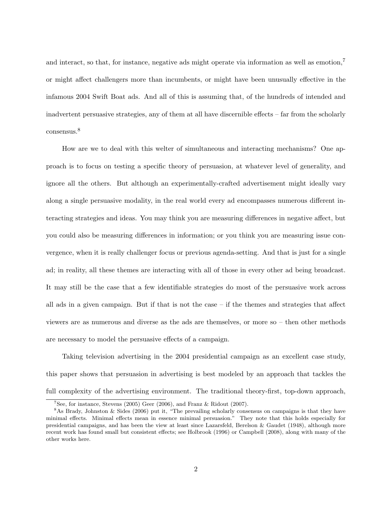and interact, so that, for instance, negative ads might operate via information as well as emotion,<sup>7</sup> or might affect challengers more than incumbents, or might have been unusually effective in the infamous 2004 Swift Boat ads. And all of this is assuming that, of the hundreds of intended and inadvertent persuasive strategies, any of them at all have discernible effects – far from the scholarly consensus.<sup>8</sup>

How are we to deal with this welter of simultaneous and interacting mechanisms? One approach is to focus on testing a specific theory of persuasion, at whatever level of generality, and ignore all the others. But although an experimentally-crafted advertisement might ideally vary along a single persuasive modality, in the real world every ad encompasses numerous different interacting strategies and ideas. You may think you are measuring differences in negative affect, but you could also be measuring differences in information; or you think you are measuring issue convergence, when it is really challenger focus or previous agenda-setting. And that is just for a single ad; in reality, all these themes are interacting with all of those in every other ad being broadcast. It may still be the case that a few identifiable strategies do most of the persuasive work across all ads in a given campaign. But if that is not the case – if the themes and strategies that affect viewers are as numerous and diverse as the ads are themselves, or more so – then other methods are necessary to model the persuasive effects of a campaign.

Taking television advertising in the 2004 presidential campaign as an excellent case study, this paper shows that persuasion in advertising is best modeled by an approach that tackles the full complexity of the advertising environment. The traditional theory-first, top-down approach,

 $7$ See, for instance, Stevens (2005) Geer (2006), and Franz & Ridout (2007).

<sup>&</sup>lt;sup>8</sup>As Brady, Johnston & Sides (2006) put it, "The prevailing scholarly consensus on campaigns is that they have minimal effects. Minimal effects mean in essence minimal persuasion." They note that this holds especially for presidential campaigns, and has been the view at least since Lazarsfeld, Berelson & Gaudet (1948), although more recent work has found small but consistent effects; see Holbrook (1996) or Campbell (2008), along with many of the other works here.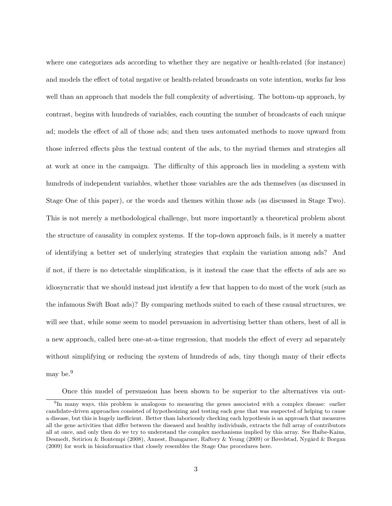where one categorizes ads according to whether they are negative or health-related (for instance) and models the effect of total negative or health-related broadcasts on vote intention, works far less well than an approach that models the full complexity of advertising. The bottom-up approach, by contrast, begins with hundreds of variables, each counting the number of broadcasts of each unique ad; models the effect of all of those ads; and then uses automated methods to move upward from those inferred effects plus the textual content of the ads, to the myriad themes and strategies all at work at once in the campaign. The difficulty of this approach lies in modeling a system with hundreds of independent variables, whether those variables are the ads themselves (as discussed in Stage One of this paper), or the words and themes within those ads (as discussed in Stage Two). This is not merely a methodological challenge, but more importantly a theoretical problem about the structure of causality in complex systems. If the top-down approach fails, is it merely a matter of identifying a better set of underlying strategies that explain the variation among ads? And if not, if there is no detectable simplification, is it instead the case that the effects of ads are so idiosyncratic that we should instead just identify a few that happen to do most of the work (such as the infamous Swift Boat ads)? By comparing methods suited to each of these causal structures, we will see that, while some seem to model persuasion in advertising better than others, best of all is a new approach, called here one-at-a-time regression, that models the effect of every ad separately without simplifying or reducing the system of hundreds of ads, tiny though many of their effects may be.<sup>9</sup>

Once this model of persuasion has been shown to be superior to the alternatives via out-

<sup>&</sup>lt;sup>9</sup>In many ways, this problem is analogous to measuring the genes associated with a complex disease: earlier candidate-driven approaches consisted of hypothesizing and testing each gene that was suspected of helping to cause a disease, but this is hugely inefficient. Better than laboriously checking each hypothesis is an approach that measures all the gene activities that differ between the diseased and healthy individuals, extracts the full array of contributors all at once, and only then do we try to understand the complex mechanisms implied by this array. See Haibe-Kains, Desmedt, Sotiriou & Bontempi (2008), Annest, Bumgarner, Raftery & Yeung (2009) or Bøvelstad, Nygård & Borgan (2009) for work in bioinformatics that closely resembles the Stage One procedures here.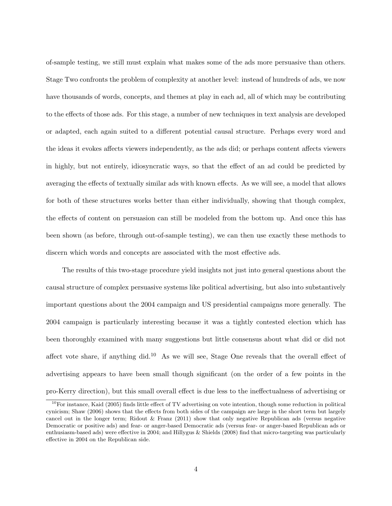of-sample testing, we still must explain what makes some of the ads more persuasive than others. Stage Two confronts the problem of complexity at another level: instead of hundreds of ads, we now have thousands of words, concepts, and themes at play in each ad, all of which may be contributing to the effects of those ads. For this stage, a number of new techniques in text analysis are developed or adapted, each again suited to a different potential causal structure. Perhaps every word and the ideas it evokes affects viewers independently, as the ads did; or perhaps content affects viewers in highly, but not entirely, idiosyncratic ways, so that the effect of an ad could be predicted by averaging the effects of textually similar ads with known effects. As we will see, a model that allows for both of these structures works better than either individually, showing that though complex, the effects of content on persuasion can still be modeled from the bottom up. And once this has been shown (as before, through out-of-sample testing), we can then use exactly these methods to discern which words and concepts are associated with the most effective ads.

The results of this two-stage procedure yield insights not just into general questions about the causal structure of complex persuasive systems like political advertising, but also into substantively important questions about the 2004 campaign and US presidential campaigns more generally. The 2004 campaign is particularly interesting because it was a tightly contested election which has been thoroughly examined with many suggestions but little consensus about what did or did not affect vote share, if anything did.<sup>10</sup> As we will see, Stage One reveals that the overall effect of advertising appears to have been small though significant (on the order of a few points in the pro-Kerry direction), but this small overall effect is due less to the ineffectualness of advertising or

 $10$ For instance, Kaid (2005) finds little effect of TV advertising on vote intention, though some reduction in political cynicism; Shaw (2006) shows that the effects from both sides of the campaign are large in the short term but largely cancel out in the longer term; Ridout & Franz (2011) show that only negative Republican ads (versus negative Democratic or positive ads) and fear- or anger-based Democratic ads (versus fear- or anger-based Republican ads or enthusiasm-based ads) were effective in 2004; and Hillygus & Shields (2008) find that micro-targeting was particularly effective in 2004 on the Republican side.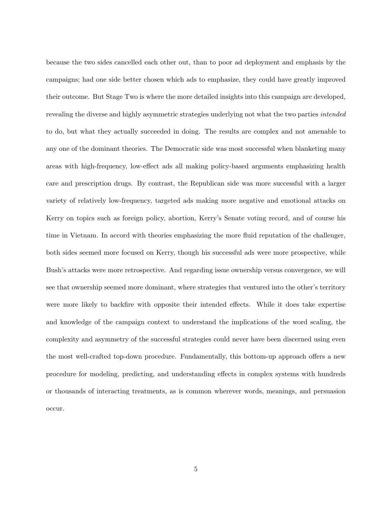because the two sides cancelled each other out, than to poor ad deployment and emphasis by the campaigns; had one side better chosen which ads to emphasize, they could have greatly improved their outcome. But Stage Two is where the more detailed insights into this campaign are developed, revealing the diverse and highly asymmetric strategies underlying not what the two parties intended to do, but what they actually succeeded in doing. The results are complex and not amenable to any one of the dominant theories. The Democratic side was most successful when blanketing many areas with high-frequency, low-effect ads all making policy-based arguments emphasizing health care and prescription drugs. By contrast, the Republican side was more successful with a larger variety of relatively low-frequency, targeted ads making more negative and emotional attacks on Kerry on topics such as foreign policy, abortion, Kerry's Senate voting record, and of course his time in Vietnam. In accord with theories emphasizing the more fluid reputation of the challenger, both sides seemed more focused on Kerry, though his successful ads were more prospective, while Bush's attacks were more retrospective. And regarding issue ownership versus convergence, we will see that ownership seemed more dominant, where strategies that ventured into the other's territory were more likely to backfire with opposite their intended effects. While it does take expertise and knowledge of the campaign context to understand the implications of the word scaling, the complexity and asymmetry of the successful strategies could never have been discerned using even the most well-crafted top-down procedure. Fundamentally, this bottom-up approach offers a new procedure for modeling, predicting, and understanding effects in complex systems with hundreds or thousands of interacting treatments, as is common wherever words, meanings, and persuasion occur.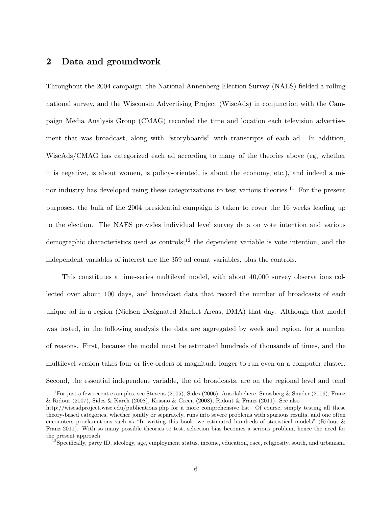# 2 Data and groundwork

Throughout the 2004 campaign, the National Annenberg Election Survey (NAES) fielded a rolling national survey, and the Wisconsin Advertising Project (WiscAds) in conjunction with the Campaign Media Analysis Group (CMAG) recorded the time and location each television advertisement that was broadcast, along with "storyboards" with transcripts of each ad. In addition, WiscAds/CMAG has categorized each ad according to many of the theories above (eg, whether it is negative, is about women, is policy-oriented, is about the economy, etc.), and indeed a minor industry has developed using these categorizations to test various theories.<sup>11</sup> For the present purposes, the bulk of the 2004 presidential campaign is taken to cover the 16 weeks leading up to the election. The NAES provides individual level survey data on vote intention and various demographic characteristics used as controls;<sup>12</sup> the dependent variable is vote intention, and the independent variables of interest are the 359 ad count variables, plus the controls.

This constitutes a time-series multilevel model, with about 40,000 survey observations collected over about 100 days, and broadcast data that record the number of broadcasts of each unique ad in a region (Nielsen Designated Market Areas, DMA) that day. Although that model was tested, in the following analysis the data are aggregated by week and region, for a number of reasons. First, because the model must be estimated hundreds of thousands of times, and the multilevel version takes four or five orders of magnitude longer to run even on a computer cluster. Second, the essential independent variable, the ad broadcasts, are on the regional level and tend

<sup>&</sup>lt;sup>11</sup>For just a few recent examples, see Stevens (2005), Sides (2006), Ansolabehere, Snowberg & Snyder (2006), Franz & Ridout (2007), Sides & Karch (2008), Krasno & Green (2008), Ridout & Franz (2011). See also

http://wiscadproject.wisc.edu/publications.php for a more comprehensive list. Of course, simply testing all these theory-based categories, whether jointly or separately, runs into severe problems with spurious results, and one often encounters proclamations such as "In writing this book, we estimated hundreds of statistical models" (Ridout & Franz 2011). With so many possible theories to test, selection bias becomes a serious problem, hence the need for the present approach.

 $^{12}$ Specifically, party ID, ideology, age, employment status, income, education, race, religiosity, south, and urbanism.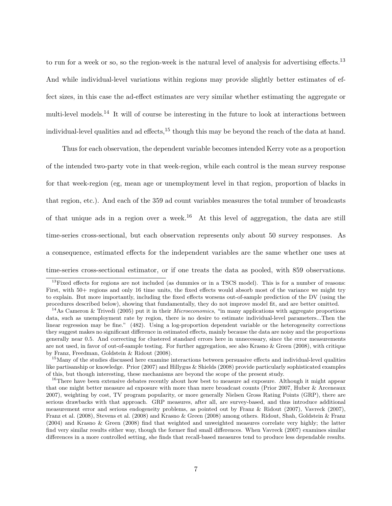to run for a week or so, so the region-week is the natural level of analysis for advertising effects.<sup>13</sup> And while individual-level variations within regions may provide slightly better estimates of effect sizes, in this case the ad-effect estimates are very similar whether estimating the aggregate or multi-level models.<sup>14</sup> It will of course be interesting in the future to look at interactions between individual-level qualities and ad effects,<sup>15</sup> though this may be beyond the reach of the data at hand.

Thus for each observation, the dependent variable becomes intended Kerry vote as a proportion of the intended two-party vote in that week-region, while each control is the mean survey response for that week-region (eg, mean age or unemployment level in that region, proportion of blacks in that region, etc.). And each of the 359 ad count variables measures the total number of broadcasts of that unique ads in a region over a week.<sup>16</sup> At this level of aggregation, the data are still time-series cross-sectional, but each observation represents only about 50 survey responses. As a consequence, estimated effects for the independent variables are the same whether one uses at time-series cross-sectional estimator, or if one treats the data as pooled, with 859 observations.

<sup>&</sup>lt;sup>13</sup>Fixed effects for regions are not included (as dummies or in a TSCS model). This is for a number of reasons: First, with 50+ regions and only 16 time units, the fixed effects would absorb most of the variance we might try to explain. But more importantly, including the fixed effects worsens out-of-sample prediction of the DV (using the procedures described below), showing that fundamentally, they do not improve model fit, and are better omitted.

 $14$ As Cameron & Trivedi (2005) put it in their *Microeconomics*, "in many applications with aggregate proportions data, such as unemployment rate by region, there is no desire to estimate individual-level parameters...Then the linear regression may be fine." (482). Using a log-proportion dependent variable or the heterogeneity corrections they suggest makes no significant difference in estimated effects, mainly because the data are noisy and the proportions generally near 0.5. And correcting for clustered standard errors here in unnecessary, since the error measurements are not used, in favor of out-of-sample testing. For further aggregation, see also Krasno & Green (2008), with critique by Franz, Freedman, Goldstein & Ridout (2008).

<sup>&</sup>lt;sup>15</sup>Many of the studies discussed here examine interactions between persuasive effects and individual-level qualities like partisanship or knowledge. Prior (2007) and Hillygus & Shields (2008) provide particularly sophisticated examples of this, but though interesting, these mechanisms are beyond the scope of the present study.

<sup>&</sup>lt;sup>16</sup>There have been extensive debates recently about how best to measure ad exposure. Although it might appear that one might better measure ad exposure with more than mere broadcast counts (Prior 2007, Huber & Arceneaux 2007), weighting by cost, TV program popularity, or more generally Nielsen Gross Rating Points (GRP), there are serious drawbacks with that approach. GRP measures, after all, are survey-based, and thus introduce additional measurement error and serious endogeneity problems, as pointed out by Franz & Ridout (2007), Vavreck (2007), Franz et al. (2008), Stevens et al. (2008) and Krasno & Green (2008) among others. Ridout, Shah, Goldstein & Franz (2004) and Krasno & Green (2008) find that weighted and unweighted measures correlate very highly; the latter find very similar results either way, though the former find small differences. When Vavreck (2007) examines similar differences in a more controlled setting, she finds that recall-based measures tend to produce less dependable results.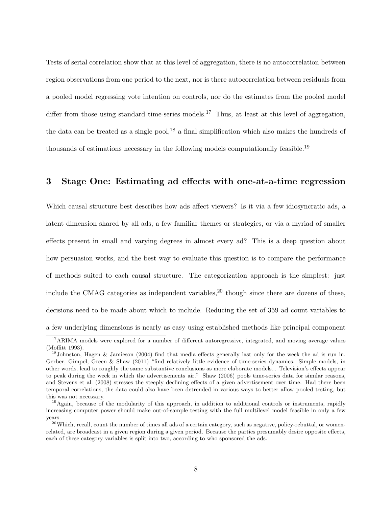Tests of serial correlation show that at this level of aggregation, there is no autocorrelation between region observations from one period to the next, nor is there autocorrelation between residuals from a pooled model regressing vote intention on controls, nor do the estimates from the pooled model differ from those using standard time-series models.<sup>17</sup> Thus, at least at this level of aggregation, the data can be treated as a single pool,<sup>18</sup> a final simplification which also makes the hundreds of thousands of estimations necessary in the following models computationally feasible.<sup>19</sup>

## 3 Stage One: Estimating ad effects with one-at-a-time regression

Which causal structure best describes how ads affect viewers? Is it via a few idiosyncratic ads, a latent dimension shared by all ads, a few familiar themes or strategies, or via a myriad of smaller effects present in small and varying degrees in almost every ad? This is a deep question about how persuasion works, and the best way to evaluate this question is to compare the performance of methods suited to each causal structure. The categorization approach is the simplest: just include the CMAG categories as independent variables,<sup>20</sup> though since there are dozens of these, decisions need to be made about which to include. Reducing the set of 359 ad count variables to a few underlying dimensions is nearly as easy using established methods like principal component

<sup>&</sup>lt;sup>17</sup>ARIMA models were explored for a number of different autoregressive, integrated, and moving average values (Moffitt 1993).

<sup>18</sup>Johnston, Hagen & Jamieson (2004) find that media effects generally last only for the week the ad is run in. Gerber, Gimpel, Green & Shaw (2011) "find relatively little evidence of time-series dynamics. Simple models, in other words, lead to roughly the same substantive conclusions as more elaborate models... Television's effects appear to peak during the week in which the advertisements air." Shaw (2006) pools time-series data for similar reasons, and Stevens et al. (2008) stresses the steeply declining effects of a given advertisement over time. Had there been temporal correlations, the data could also have been detrended in various ways to better allow pooled testing, but this was not necessary.

<sup>&</sup>lt;sup>19</sup>Again, because of the modularity of this approach, in addition to additional controls or instruments, rapidly increasing computer power should make out-of-sample testing with the full multilevel model feasible in only a few years.

 $^{20}$ Which, recall, count the number of times all ads of a certain category, such as negative, policy-rebuttal, or womenrelated, are broadcast in a given region during a given period. Because the parties presumably desire opposite effects, each of these category variables is split into two, according to who sponsored the ads.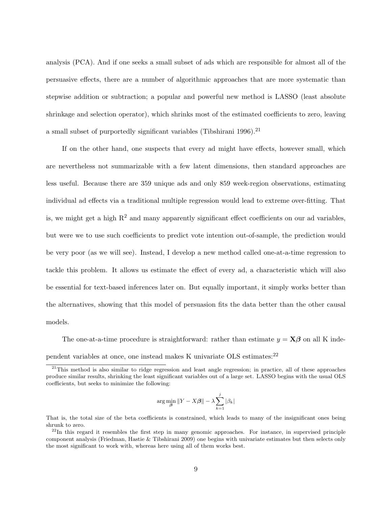analysis (PCA). And if one seeks a small subset of ads which are responsible for almost all of the persuasive effects, there are a number of algorithmic approaches that are more systematic than stepwise addition or subtraction; a popular and powerful new method is LASSO (least absolute shrinkage and selection operator), which shrinks most of the estimated coefficients to zero, leaving a small subset of purportedly significant variables (Tibshirani 1996).<sup>21</sup>

If on the other hand, one suspects that every ad might have effects, however small, which are nevertheless not summarizable with a few latent dimensions, then standard approaches are less useful. Because there are 359 unique ads and only 859 week-region observations, estimating individual ad effects via a traditional multiple regression would lead to extreme over-fitting. That is, we might get a high  $R^2$  and many apparently significant effect coefficients on our ad variables, but were we to use such coefficients to predict vote intention out-of-sample, the prediction would be very poor (as we will see). Instead, I develop a new method called one-at-a-time regression to tackle this problem. It allows us estimate the effect of every ad, a characteristic which will also be essential for text-based inferences later on. But equally important, it simply works better than the alternatives, showing that this model of persuasion fits the data better than the other causal models.

The one-at-a-time procedure is straightforward: rather than estimate  $y = \mathbf{X}\boldsymbol{\beta}$  on all K independent variables at once, one instead makes K univariate OLS estimates:<sup>22</sup>

$$
\arg\min_{\boldsymbol{\beta}}\|Y-X\boldsymbol{\beta}\| - \lambda \sum_{k=1}^j |\beta_k|
$$

<sup>&</sup>lt;sup>21</sup>This method is also similar to ridge regression and least angle regression; in practice, all of these approaches produce similar results, shrinking the least significant variables out of a large set. LASSO begins with the usual OLS coefficients, but seeks to minimize the following:

That is, the total size of the beta coefficients is constrained, which leads to many of the insignificant ones being shrunk to zero.

<sup>&</sup>lt;sup>22</sup>In this regard it resembles the first step in many genomic approaches. For instance, in supervised principle component analysis (Friedman, Hastie & Tibshirani 2009) one begins with univariate estimates but then selects only the most significant to work with, whereas here using all of them works best.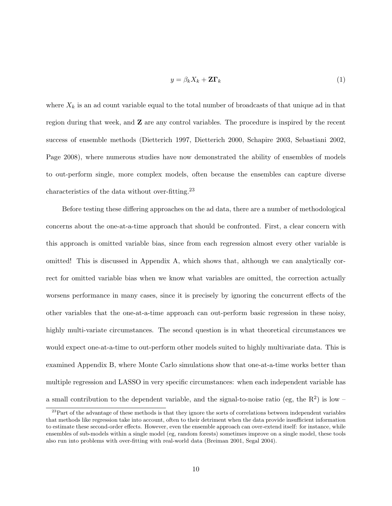$$
y = \beta_k X_k + \mathbf{Z} \Gamma_k \tag{1}
$$

where  $X_k$  is an ad count variable equal to the total number of broadcasts of that unique ad in that region during that week, and Z are any control variables. The procedure is inspired by the recent success of ensemble methods (Dietterich 1997, Dietterich 2000, Schapire 2003, Sebastiani 2002, Page 2008), where numerous studies have now demonstrated the ability of ensembles of models to out-perform single, more complex models, often because the ensembles can capture diverse characteristics of the data without over-fitting.<sup>23</sup>

Before testing these differing approaches on the ad data, there are a number of methodological concerns about the one-at-a-time approach that should be confronted. First, a clear concern with this approach is omitted variable bias, since from each regression almost every other variable is omitted! This is discussed in Appendix A, which shows that, although we can analytically correct for omitted variable bias when we know what variables are omitted, the correction actually worsens performance in many cases, since it is precisely by ignoring the concurrent effects of the other variables that the one-at-a-time approach can out-perform basic regression in these noisy, highly multi-variate circumstances. The second question is in what theoretical circumstances we would expect one-at-a-time to out-perform other models suited to highly multivariate data. This is examined Appendix B, where Monte Carlo simulations show that one-at-a-time works better than multiple regression and LASSO in very specific circumstances: when each independent variable has a small contribution to the dependent variable, and the signal-to-noise ratio (eg, the  $R^2$ ) is low –

<sup>&</sup>lt;sup>23</sup>Part of the advantage of these methods is that they ignore the sorts of correlations between independent variables that methods like regression take into account, often to their detriment when the data provide insufficient information to estimate these second-order effects. However, even the ensemble approach can over-extend itself: for instance, while ensembles of sub-models within a single model (eg, random forests) sometimes improve on a single model, these tools also run into problems with over-fitting with real-world data (Breiman 2001, Segal 2004).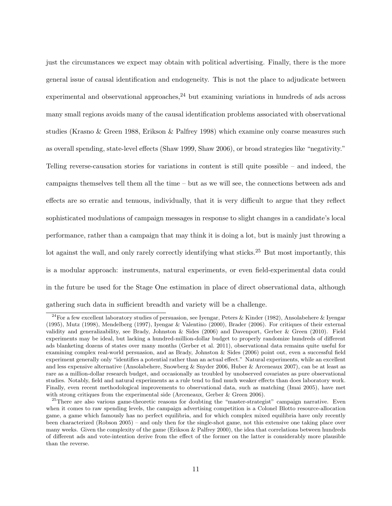just the circumstances we expect may obtain with political advertising. Finally, there is the more general issue of causal identification and endogeneity. This is not the place to adjudicate between experimental and observational approaches,  $^{24}$  but examining variations in hundreds of ads across many small regions avoids many of the causal identification problems associated with observational studies (Krasno & Green 1988, Erikson & Palfrey 1998) which examine only coarse measures such as overall spending, state-level effects (Shaw 1999, Shaw 2006), or broad strategies like "negativity." Telling reverse-causation stories for variations in content is still quite possible – and indeed, the campaigns themselves tell them all the time – but as we will see, the connections between ads and effects are so erratic and tenuous, individually, that it is very difficult to argue that they reflect sophisticated modulations of campaign messages in response to slight changes in a candidate's local performance, rather than a campaign that may think it is doing a lot, but is mainly just throwing a lot against the wall, and only rarely correctly identifying what sticks.<sup>25</sup> But most importantly, this is a modular approach: instruments, natural experiments, or even field-experimental data could in the future be used for the Stage One estimation in place of direct observational data, although gathering such data in sufficient breadth and variety will be a challenge.

<sup>&</sup>lt;sup>24</sup>For a few excellent laboratory studies of persuasion, see Iyengar, Peters & Kinder (1982), Ansolabehere & Iyengar (1995), Mutz (1998), Mendelberg (1997), Iyengar & Valentino (2000), Brader (2006). For critiques of their external validity and generalizability, see Brady, Johnston & Sides (2006) and Davenport, Gerber & Green (2010). Field experiments may be ideal, but lacking a hundred-million-dollar budget to properly randomize hundreds of different ads blanketing dozens of states over many months (Gerber et al. 2011), observational data remains quite useful for examining complex real-world persuasion, and as Brady, Johnston & Sides (2006) point out, even a successful field experiment generally only "identifies a potential rather than an actual effect." Natural experiments, while an excellent and less expensive alternative (Ansolabehere, Snowberg & Snyder 2006, Huber & Arceneaux 2007), can be at least as rare as a million-dollar research budget, and occasionally as troubled by unobserved covariates as pure observational studies. Notably, field and natural experiments as a rule tend to find much weaker effects than does laboratory work. Finally, even recent methodological improvements to observational data, such as matching (Imai 2005), have met with strong critiques from the experimental side (Arceneaux, Gerber & Green 2006).

<sup>&</sup>lt;sup>25</sup>There are also various game-theoretic reasons for doubting the "master-strategist" campaign narrative. Even when it comes to raw spending levels, the campaign advertising competition is a Colonel Blotto resource-allocation game, a game which famously has no perfect equilibria, and for which complex mixed equilibria have only recently been characterized (Robson 2005) – and only then for the single-shot game, not this extensive one taking place over many weeks. Given the complexity of the game (Erikson & Palfrey 2000), the idea that correlations between hundreds of different ads and vote-intention derive from the effect of the former on the latter is considerably more plausible than the reverse.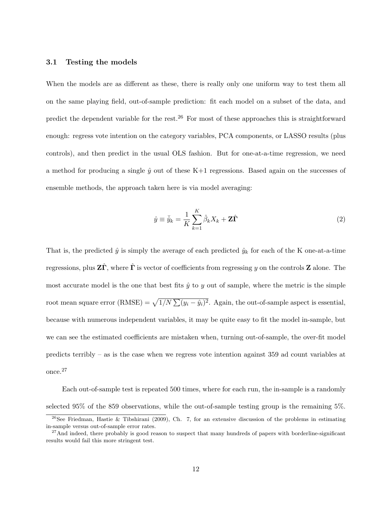### 3.1 Testing the models

When the models are as different as these, there is really only one uniform way to test them all on the same playing field, out-of-sample prediction: fit each model on a subset of the data, and predict the dependent variable for the rest.<sup>26</sup> For most of these approaches this is straightforward enough: regress vote intention on the category variables, PCA components, or LASSO results (plus controls), and then predict in the usual OLS fashion. But for one-at-a-time regression, we need a method for producing a single  $\hat{y}$  out of these K+1 regressions. Based again on the successes of ensemble methods, the approach taken here is via model averaging:

$$
\hat{y} \equiv \bar{\hat{y}}_k = \frac{1}{K} \sum_{k=1}^{K} \hat{\beta}_k X_k + \mathbf{Z} \hat{\mathbf{\Gamma}} \tag{2}
$$

That is, the predicted  $\hat{y}$  is simply the average of each predicted  $\hat{y}_k$  for each of the K one-at-a-time regressions, plus  $\mathbf{Z}\hat{\mathbf{\Gamma}}$ , where  $\hat{\mathbf{\Gamma}}$  is vector of coefficients from regressing y on the controls  $\mathbf{Z}$  alone. The most accurate model is the one that best fits  $\hat{y}$  to y out of sample, where the metric is the simple root mean square error (RMSE) =  $\sqrt{1/N} \sum_{i} (y_i - \hat{y}_i)^2$ . Again, the out-of-sample aspect is essential, because with numerous independent variables, it may be quite easy to fit the model in-sample, but we can see the estimated coefficients are mistaken when, turning out-of-sample, the over-fit model predicts terribly – as is the case when we regress vote intention against 359 ad count variables at once.<sup>27</sup>

Each out-of-sample test is repeated 500 times, where for each run, the in-sample is a randomly selected 95% of the 859 observations, while the out-of-sample testing group is the remaining 5%.

 $^{26}$ See Friedman, Hastie & Tibshirani (2009), Ch. 7, for an extensive discussion of the problems in estimating in-sample versus out-of-sample error rates.

 $^{27}$ And indeed, there probably is good reason to suspect that many hundreds of papers with borderline-significant results would fail this more stringent test.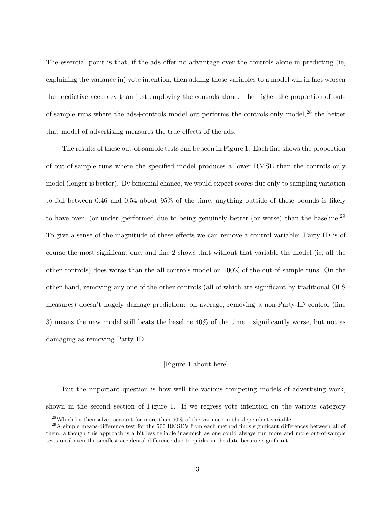The essential point is that, if the ads offer no advantage over the controls alone in predicting (ie, explaining the variance in) vote intention, then adding those variables to a model will in fact worsen the predictive accuracy than just employing the controls alone. The higher the proportion of outof-sample runs where the ads+controls model out-performs the controls-only model, $^{28}$  the better that model of advertising measures the true effects of the ads.

The results of these out-of-sample tests can be seen in Figure 1. Each line shows the proportion of out-of-sample runs where the specified model produces a lower RMSE than the controls-only model (longer is better). By binomial chance, we would expect scores due only to sampling variation to fall between 0.46 and 0.54 about 95% of the time; anything outside of these bounds is likely to have over- (or under-)performed due to being genuinely better (or worse) than the baseline.<sup>29</sup> To give a sense of the magnitude of these effects we can remove a control variable: Party ID is of course the most significant one, and line 2 shows that without that variable the model (ie, all the other controls) does worse than the all-controls model on 100% of the out-of-sample runs. On the other hand, removing any one of the other controls (all of which are significant by traditional OLS measures) doesn't hugely damage prediction: on average, removing a non-Party-ID control (line 3) means the new model still beats the baseline 40% of the time – significantly worse, but not as damaging as removing Party ID.

### [Figure 1 about here]

But the important question is how well the various competing models of advertising work, shown in the second section of Figure 1. If we regress vote intention on the various category

<sup>28</sup>Which by themselves account for more than 60% of the variance in the dependent variable.

 $^{29}$ A simple means-difference test for the 500 RMSE's from each method finds significant differences between all of them, although this approach is a bit less reliable inasmuch as one could always run more and more out-of-sample tests until even the smallest accidental difference due to quirks in the data became significant.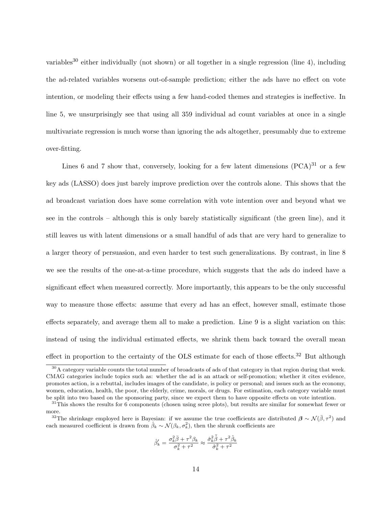variables<sup>30</sup> either individually (not shown) or all together in a single regression (line 4), including the ad-related variables worsens out-of-sample prediction; either the ads have no effect on vote intention, or modeling their effects using a few hand-coded themes and strategies is ineffective. In line 5, we unsurprisingly see that using all 359 individual ad count variables at once in a single multivariate regression is much worse than ignoring the ads altogether, presumably due to extreme over-fitting.

Lines 6 and 7 show that, conversely, looking for a few latent dimensions  $(PCA)^{31}$  or a few key ads (LASSO) does just barely improve prediction over the controls alone. This shows that the ad broadcast variation does have some correlation with vote intention over and beyond what we see in the controls – although this is only barely statistically significant (the green line), and it still leaves us with latent dimensions or a small handful of ads that are very hard to generalize to a larger theory of persuasion, and even harder to test such generalizations. By contrast, in line 8 we see the results of the one-at-a-time procedure, which suggests that the ads do indeed have a significant effect when measured correctly. More importantly, this appears to be the only successful way to measure those effects: assume that every ad has an effect, however small, estimate those effects separately, and average them all to make a prediction. Line 9 is a slight variation on this: instead of using the individual estimated effects, we shrink them back toward the overall mean effect in proportion to the certainty of the OLS estimate for each of those effects.<sup>32</sup> But although

$$
\hat{\beta}'_k = \frac{\sigma_k^2\bar{\beta}+\tau^2\beta_k}{\sigma_k^2+\tau^2}\approx \frac{\hat{\sigma}_k^2\bar{\hat{\beta}}+\tau^2\hat{\beta}_k}{\hat{\sigma}_k^2+\tau^2}
$$

<sup>&</sup>lt;sup>30</sup>A category variable counts the total number of broadcasts of ads of that category in that region during that week. CMAG categories include topics such as: whether the ad is an attack or self-promotion; whether it cites evidence, promotes action, is a rebuttal, includes images of the candidate, is policy or personal; and issues such as the economy, women, education, health, the poor, the elderly, crime, morals, or drugs. For estimation, each category variable must be split into two based on the sponsoring party, since we expect them to have opposite effects on vote intention.

 $31$ This shows the results for 6 components (chosen using scree plots), but results are similar for somewhat fewer or more.

<sup>&</sup>lt;sup>32</sup>The shrinkage employed here is Bayesian: if we assume the true coefficients are distributed  $\beta \sim \mathcal{N}(\bar{\beta}, \tau^2)$  and each measured coefficient is drawn from  $\hat{\beta}_k \sim \mathcal{N}(\beta_k, \sigma_k^2)$ , then the shrunk coefficients are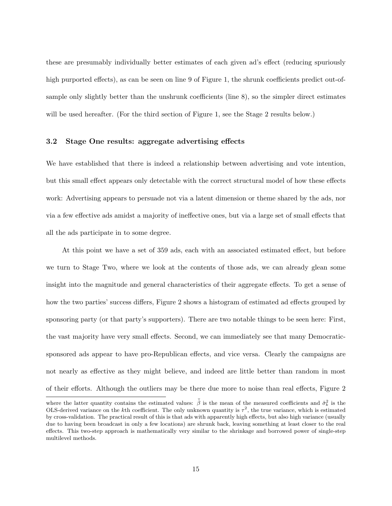these are presumably individually better estimates of each given ad's effect (reducing spuriously high purported effects), as can be seen on line 9 of Figure 1, the shrunk coefficients predict out-ofsample only slightly better than the unshrunk coefficients (line 8), so the simpler direct estimates will be used hereafter. (For the third section of Figure 1, see the Stage 2 results below.)

### 3.2 Stage One results: aggregate advertising effects

We have established that there is indeed a relationship between advertising and vote intention, but this small effect appears only detectable with the correct structural model of how these effects work: Advertising appears to persuade not via a latent dimension or theme shared by the ads, nor via a few effective ads amidst a majority of ineffective ones, but via a large set of small effects that all the ads participate in to some degree.

At this point we have a set of 359 ads, each with an associated estimated effect, but before we turn to Stage Two, where we look at the contents of those ads, we can already glean some insight into the magnitude and general characteristics of their aggregate effects. To get a sense of how the two parties' success differs, Figure 2 shows a histogram of estimated ad effects grouped by sponsoring party (or that party's supporters). There are two notable things to be seen here: First, the vast majority have very small effects. Second, we can immediately see that many Democraticsponsored ads appear to have pro-Republican effects, and vice versa. Clearly the campaigns are not nearly as effective as they might believe, and indeed are little better than random in most of their efforts. Although the outliers may be there due more to noise than real effects, Figure 2

where the latter quantity contains the estimated values:  $\bar{\hat{\beta}}$  is the mean of the measured coefficients and  $\hat{\sigma}_k^2$  is the OLS-derived variance on the k<sup>th</sup> coefficient. The only unknown quantity is  $\tau^2$ , the true variance, which is estimated by cross-validation. The practical result of this is that ads with apparently high effects, but also high variance (usually due to having been broadcast in only a few locations) are shrunk back, leaving something at least closer to the real effects. This two-step approach is mathematically very similar to the shrinkage and borrowed power of single-step multilevel methods.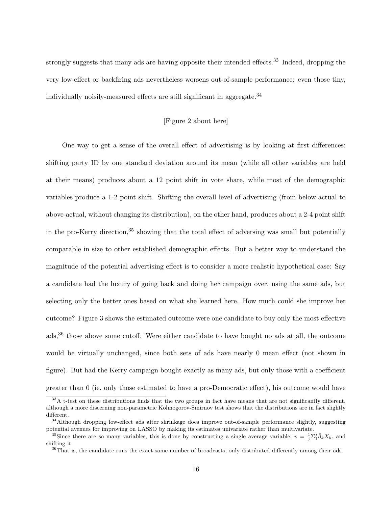strongly suggests that many ads are having opposite their intended effects.<sup>33</sup> Indeed, dropping the very low-effect or backfiring ads nevertheless worsens out-of-sample performance: even those tiny, individually noisily-measured effects are still significant in aggregate.<sup>34</sup>

### [Figure 2 about here]

One way to get a sense of the overall effect of advertising is by looking at first differences: shifting party ID by one standard deviation around its mean (while all other variables are held at their means) produces about a 12 point shift in vote share, while most of the demographic variables produce a 1-2 point shift. Shifting the overall level of advertising (from below-actual to above-actual, without changing its distribution), on the other hand, produces about a 2-4 point shift in the pro-Kerry direction,<sup>35</sup> showing that the total effect of adversing was small but potentially comparable in size to other established demographic effects. But a better way to understand the magnitude of the potential advertising effect is to consider a more realistic hypothetical case: Say a candidate had the luxury of going back and doing her campaign over, using the same ads, but selecting only the better ones based on what she learned here. How much could she improve her outcome? Figure 3 shows the estimated outcome were one candidate to buy only the most effective ads,<sup>36</sup> those above some cutoff. Were either candidate to have bought no ads at all, the outcome would be virtually unchanged, since both sets of ads have nearly 0 mean effect (not shown in figure). But had the Kerry campaign bought exactly as many ads, but only those with a coefficient greater than 0 (ie, only those estimated to have a pro-Democratic effect), his outcome would have

<sup>&</sup>lt;sup>33</sup>A t-test on these distributions finds that the two groups in fact have means that are not significantly different, although a more discerning non-parametric Kolmogorov-Smirnov test shows that the distributions are in fact slightly different.

 $34$ Although dropping low-effect ads after shrinkage does improve out-of-sample performance slightly, suggesting potential avenues for improving on LASSO by making its estimates univariate rather than multivariate.

<sup>&</sup>lt;sup>35</sup>Since there are so many variables, this is done by constructing a single average variable,  $v = \frac{1}{j} \sum_{i=1}^{j} \hat{\beta}_k X_k$ , and shifting it.

<sup>&</sup>lt;sup>36</sup>That is, the candidate runs the exact same number of broadcasts, only distributed differently among their ads.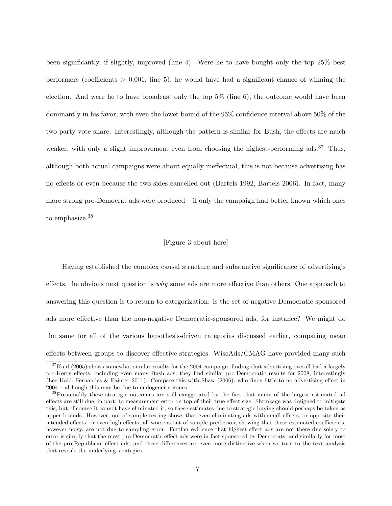been significantly, if slightly, improved (line 4). Were he to have bought only the top 25% best performers (coefficients  $> 0.001$ , line 5), he would have had a significant chance of winning the election. And were he to have broadcast only the top 5% (line 6), the outcome would have been dominantly in his favor, with even the lower bound of the 95% confidence interval above 50% of the two-party vote share. Interestingly, although the pattern is similar for Bush, the effects are much weaker, with only a slight improvement even from choosing the highest-performing ads.<sup>37</sup> Thus, although both actual campaigns were about equally ineffectual, this is not because advertising has no effects or even because the two sides cancelled out (Bartels 1992, Bartels 2006). In fact, many more strong pro-Democrat ads were produced – if only the campaign had better known which ones to emphasize.<sup>38</sup>

### [Figure 3 about here]

Having established the complex causal structure and substantive significance of advertising's effects, the obvious next question is why some ads are more effective than others. One approach to answering this question is to return to categorization: is the set of negative Democratic-sponsored ads more effective than the non-negative Democratic-sponsored ads, for instance? We might do the same for all of the various hypothesis-driven categories discussed earlier, comparing mean effects between groups to discover effective strategies. WiscAds/CMAG have provided many such

<sup>&</sup>lt;sup>37</sup>Kaid (2005) shows somewhat similar results for the 2004 campaign, finding that advertising overall had a largely pro-Kerry effects, including even many Bush ads; they find similar pro-Democratic results for 2008, interestingly (Lee Kaid, Fernandes & Painter 2011). Compare this with Shaw (2006), who finds little to no advertising effect in 2004 – although this may be due to endogeneity issues.

<sup>&</sup>lt;sup>38</sup>Presumably these strategic outcomes are still exaggerated by the fact that many of the largest estimated ad effects are still due, in part, to measurement error on top of their true effect size. Shrinkage was designed to mitigate this, but of course it cannot have eliminated it, so these estimates due to strategic buying should perhaps be taken as upper bounds. However, out-of-sample testing shows that even eliminating ads with small effects, or opposite their intended effects, or even high effects, all worsens out-of-sample prediction, showing that these estimated coefficients, however noisy, are not due to sampling error. Further evidence that highest-effect ads are not there due solely to error is simply that the most pro-Democratic effect ads were in fact sponsored by Democrats, and similarly for most of the pro-Republican effect ads, and these differences are even more distinctive when we turn to the text analysis that reveals the underlying strategies.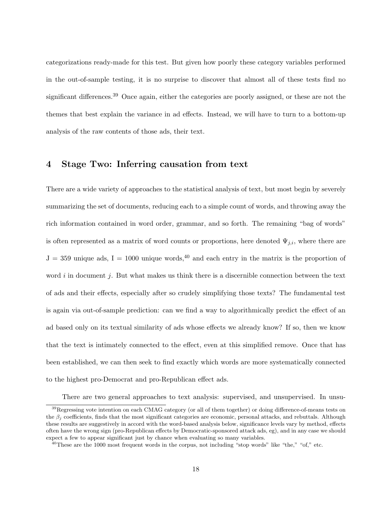categorizations ready-made for this test. But given how poorly these category variables performed in the out-of-sample testing, it is no surprise to discover that almost all of these tests find no significant differences.<sup>39</sup> Once again, either the categories are poorly assigned, or these are not the themes that best explain the variance in ad effects. Instead, we will have to turn to a bottom-up analysis of the raw contents of those ads, their text.

# 4 Stage Two: Inferring causation from text

There are a wide variety of approaches to the statistical analysis of text, but most begin by severely summarizing the set of documents, reducing each to a simple count of words, and throwing away the rich information contained in word order, grammar, and so forth. The remaining "bag of words" is often represented as a matrix of word counts or proportions, here denoted  $\Psi_{j,i}$ , where there are  $J = 359$  unique ads,  $I = 1000$  unique words,<sup>40</sup> and each entry in the matrix is the proportion of word  $i$  in document  $j$ . But what makes us think there is a discernible connection between the text of ads and their effects, especially after so crudely simplifying those texts? The fundamental test is again via out-of-sample prediction: can we find a way to algorithmically predict the effect of an ad based only on its textual similarity of ads whose effects we already know? If so, then we know that the text is intimately connected to the effect, even at this simplified remove. Once that has been established, we can then seek to find exactly which words are more systematically connected to the highest pro-Democrat and pro-Republican effect ads.

There are two general approaches to text analysis: supervised, and unsupervised. In unsu-

 $39$ Regressing vote intention on each CMAG category (or all of them together) or doing difference-of-means tests on the  $\beta_i$  coefficients, finds that the most significant categories are economic, personal attacks, and rebuttals. Although these results are suggestively in accord with the word-based analysis below, significance levels vary by method, effects often have the wrong sign (pro-Republican effects by Democratic-sponsored attack ads, eg), and in any case we should expect a few to appear significant just by chance when evaluating so many variables.

 $40$ These are the 1000 most frequent words in the corpus, not including "stop words" like "the," "of," etc.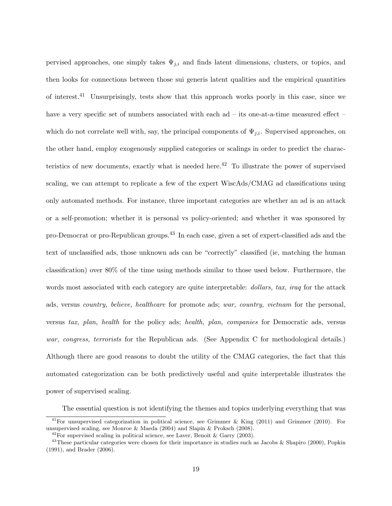pervised approaches, one simply takes  $\Psi_{j,i}$  and finds latent dimensions, clusters, or topics, and then looks for connections between those sui generis latent qualities and the empirical quantities of interest.<sup>41</sup> Unsurprisingly, tests show that this approach works poorly in this case, since we have a very specific set of numbers associated with each ad – its one-at-a-time measured effect – which do not correlate well with, say, the principal components of  $\Psi_{j,i}$ . Supervised approaches, on the other hand, employ exogenously supplied categories or scalings in order to predict the characteristics of new documents, exactly what is needed here.<sup>42</sup> To illustrate the power of supervised scaling, we can attempt to replicate a few of the expert WiscAds/CMAG ad classifications using only automated methods. For instance, three important categories are whether an ad is an attack or a self-promotion; whether it is personal vs policy-oriented; and whether it was sponsored by pro-Democrat or pro-Republican groups.<sup>43</sup> In each case, given a set of expert-classified ads and the text of unclassified ads, those unknown ads can be "correctly" classified (ie, matching the human classification) over 80% of the time using methods similar to those used below. Furthermore, the words most associated with each category are quite interpretable: *dollars, tax, iraq* for the attack ads, versus country, believe, healthcare for promote ads; war, country, vietnam for the personal, versus tax, plan, health for the policy ads; health, plan, companies for Democratic ads, versus war, congress, terrorists for the Republican ads. (See Appendix C for methodological details.) Although there are good reasons to doubt the utility of the CMAG categories, the fact that this automated categorization can be both predictively useful and quite interpretable illustrates the power of supervised scaling.

The essential question is not identifying the themes and topics underlying everything that was

<sup>&</sup>lt;sup>41</sup>For unsupervised categorization in political science, see Grimmer & King (2011) and Grimmer (2010). For unsupervised scaling, see Monroe & Maeda (2004) and Slapin & Proksch (2008).

 $^{42}$ For supervised scaling in political science, see Laver, Benoit & Garry (2003).

<sup>&</sup>lt;sup>43</sup>These particular categories were chosen for their importance in studies such as Jacobs & Shapiro (2000), Popkin (1991), and Brader (2006).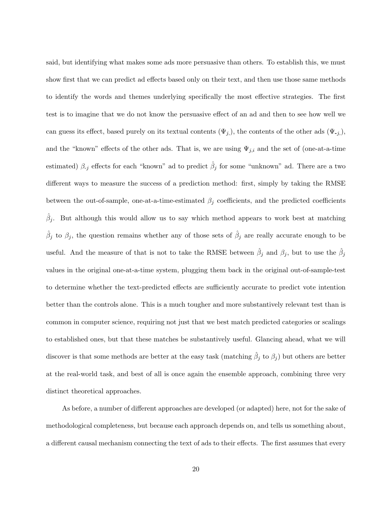said, but identifying what makes some ads more persuasive than others. To establish this, we must show first that we can predict ad effects based only on their text, and then use those same methods to identify the words and themes underlying specifically the most effective strategies. The first test is to imagine that we do not know the persuasive effect of an ad and then to see how well we can guess its effect, based purely on its textual contents  $(\Psi_{j_i})$ , the contents of the other ads  $(\Psi_{-j_i})$ , and the "known" effects of the other ads. That is, we are using  $\Psi_{j,i}$  and the set of (one-at-a-time estimated)  $\beta_{-j}$  effects for each "known" ad to predict  $\hat{\beta}_j$  for some "unknown" ad. There are a two different ways to measure the success of a prediction method: first, simply by taking the RMSE between the out-of-sample, one-at-a-time-estimated  $\beta_i$  coefficients, and the predicted coefficients  $\hat{\beta}_j$ . But although this would allow us to say which method appears to work best at matching  $\hat{\beta}_j$  to  $\beta_j$ , the question remains whether any of those sets of  $\hat{\beta}_j$  are really accurate enough to be useful. And the measure of that is not to take the RMSE between  $\hat{\beta}_j$  and  $\beta_j$ , but to use the  $\hat{\beta}_j$ values in the original one-at-a-time system, plugging them back in the original out-of-sample-test to determine whether the text-predicted effects are sufficiently accurate to predict vote intention better than the controls alone. This is a much tougher and more substantively relevant test than is common in computer science, requiring not just that we best match predicted categories or scalings to established ones, but that these matches be substantively useful. Glancing ahead, what we will discover is that some methods are better at the easy task (matching  $\hat{\beta}_j$  to  $\beta_j$ ) but others are better at the real-world task, and best of all is once again the ensemble approach, combining three very distinct theoretical approaches.

As before, a number of different approaches are developed (or adapted) here, not for the sake of methodological completeness, but because each approach depends on, and tells us something about, a different causal mechanism connecting the text of ads to their effects. The first assumes that every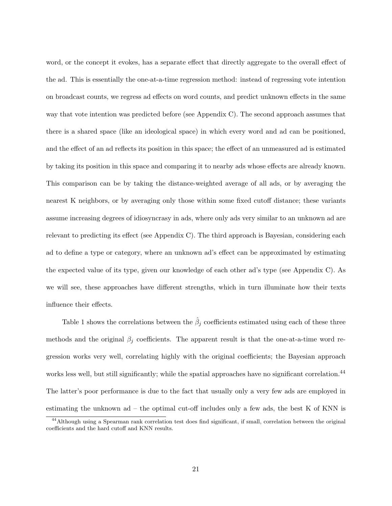word, or the concept it evokes, has a separate effect that directly aggregate to the overall effect of the ad. This is essentially the one-at-a-time regression method: instead of regressing vote intention on broadcast counts, we regress ad effects on word counts, and predict unknown effects in the same way that vote intention was predicted before (see Appendix C). The second approach assumes that there is a shared space (like an ideological space) in which every word and ad can be positioned, and the effect of an ad reflects its position in this space; the effect of an unmeasured ad is estimated by taking its position in this space and comparing it to nearby ads whose effects are already known. This comparison can be by taking the distance-weighted average of all ads, or by averaging the nearest K neighbors, or by averaging only those within some fixed cutoff distance; these variants assume increasing degrees of idiosyncrasy in ads, where only ads very similar to an unknown ad are relevant to predicting its effect (see Appendix C). The third approach is Bayesian, considering each ad to define a type or category, where an unknown ad's effect can be approximated by estimating the expected value of its type, given our knowledge of each other ad's type (see Appendix C). As we will see, these approaches have different strengths, which in turn illuminate how their texts influence their effects.

Table 1 shows the correlations between the  $\hat{\beta}_j$  coefficients estimated using each of these three methods and the original  $\beta_i$  coefficients. The apparent result is that the one-at-a-time word regression works very well, correlating highly with the original coefficients; the Bayesian approach works less well, but still significantly; while the spatial approaches have no significant correlation.<sup>44</sup> The latter's poor performance is due to the fact that usually only a very few ads are employed in estimating the unknown  $ad - the$  optimal cut-off includes only a few ads, the best K of KNN is

<sup>&</sup>lt;sup>44</sup>Although using a Spearman rank correlation test does find significant, if small, correlation between the original coefficients and the hard cutoff and KNN results.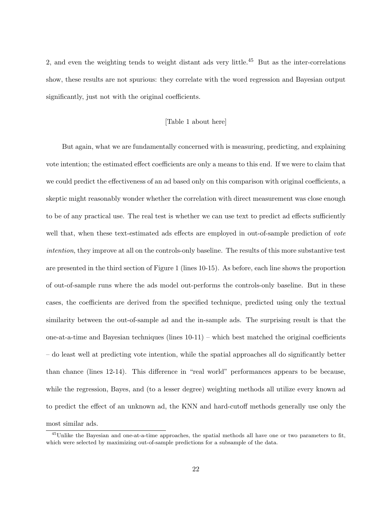2, and even the weighting tends to weight distant ads very little.<sup>45</sup> But as the inter-correlations show, these results are not spurious: they correlate with the word regression and Bayesian output significantly, just not with the original coefficients.

#### [Table 1 about here]

But again, what we are fundamentally concerned with is measuring, predicting, and explaining vote intention; the estimated effect coefficients are only a means to this end. If we were to claim that we could predict the effectiveness of an ad based only on this comparison with original coefficients, a skeptic might reasonably wonder whether the correlation with direct measurement was close enough to be of any practical use. The real test is whether we can use text to predict ad effects sufficiently well that, when these text-estimated ads effects are employed in out-of-sample prediction of vote intention, they improve at all on the controls-only baseline. The results of this more substantive test are presented in the third section of Figure 1 (lines 10-15). As before, each line shows the proportion of out-of-sample runs where the ads model out-performs the controls-only baseline. But in these cases, the coefficients are derived from the specified technique, predicted using only the textual similarity between the out-of-sample ad and the in-sample ads. The surprising result is that the one-at-a-time and Bayesian techniques (lines  $10-11$ ) – which best matched the original coefficients – do least well at predicting vote intention, while the spatial approaches all do significantly better than chance (lines 12-14). This difference in "real world" performances appears to be because, while the regression, Bayes, and (to a lesser degree) weighting methods all utilize every known ad to predict the effect of an unknown ad, the KNN and hard-cutoff methods generally use only the most similar ads.

<sup>&</sup>lt;sup>45</sup>Unlike the Bayesian and one-at-a-time approaches, the spatial methods all have one or two parameters to fit, which were selected by maximizing out-of-sample predictions for a subsample of the data.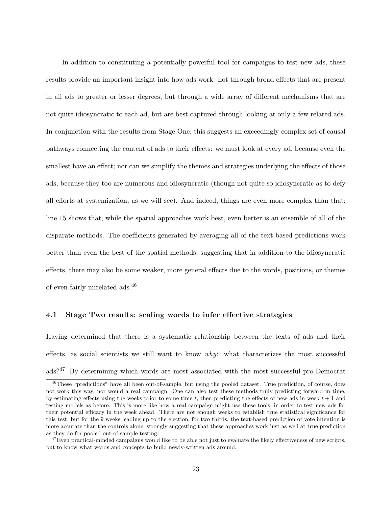In addition to constituting a potentially powerful tool for campaigns to test new ads, these results provide an important insight into how ads work: not through broad effects that are present in all ads to greater or lesser degrees, but through a wide array of different mechanisms that are not quite idiosyncratic to each ad, but are best captured through looking at only a few related ads. In conjunction with the results from Stage One, this suggests an exceedingly complex set of causal pathways connecting the content of ads to their effects: we must look at every ad, because even the smallest have an effect; nor can we simplify the themes and strategies underlying the effects of those ads, because they too are numerous and idiosyncratic (though not quite so idiosyncratic as to defy all efforts at systemization, as we will see). And indeed, things are even more complex than that: line 15 shows that, while the spatial approaches work best, even better is an ensemble of all of the disparate methods. The coefficients generated by averaging all of the text-based predictions work better than even the best of the spatial methods, suggesting that in addition to the idiosyncratic effects, there may also be some weaker, more general effects due to the words, positions, or themes of even fairly unrelated ads.<sup>46</sup>

### 4.1 Stage Two results: scaling words to infer effective strategies

Having determined that there is a systematic relationship between the texts of ads and their effects, as social scientists we still want to know why: what characterizes the most successful ads?<sup>47</sup> By determining which words are most associated with the most successful pro-Democrat

<sup>&</sup>lt;sup>46</sup>These "predictions" have all been out-of-sample, but using the pooled dataset. True prediction, of course, does not work this way, nor would a real campaign. One can also test these methods truly predicting forward in time, by estimating effects using the weeks prior to some time t, then predicting the effects of new ads in week  $t + 1$  and testing models as before. This is more like how a real campaign might use these tools, in order to test new ads for their potential efficacy in the week ahead. There are not enough weeks to establish true statistical significance for this test, but for the 9 weeks leading up to the election, for two thirds, the text-based prediction of vote intention is more accurate than the controls alone, strongly suggesting that these approaches work just as well at true prediction as they do for pooled out-of-sample testing.

 $47$ Even practical-minded campaigns would like to be able not just to evaluate the likely effectiveness of new scripts, but to know what words and concepts to build newly-written ads around.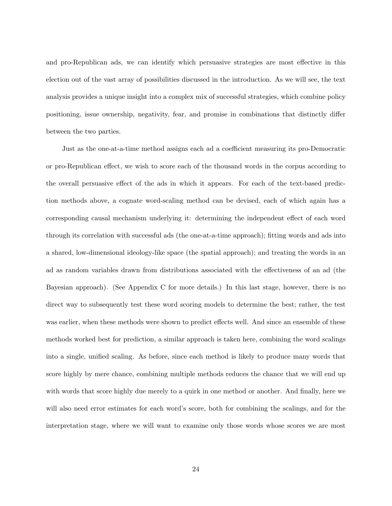and pro-Republican ads, we can identify which persuasive strategies are most effective in this election out of the vast array of possibilities discussed in the introduction. As we will see, the text analysis provides a unique insight into a complex mix of successful strategies, which combine policy positioning, issue ownership, negativity, fear, and promise in combinations that distinctly differ between the two parties.

Just as the one-at-a-time method assigns each ad a coefficient measuring its pro-Democratic or pro-Republican effect, we wish to score each of the thousand words in the corpus according to the overall persuasive effect of the ads in which it appears. For each of the text-based prediction methods above, a cognate word-scaling method can be devised, each of which again has a corresponding causal mechanism underlying it: determining the independent effect of each word through its correlation with successful ads (the one-at-a-time approach); fitting words and ads into a shared, low-dimensional ideology-like space (the spatial approach); and treating the words in an ad as random variables drawn from distributions associated with the effectiveness of an ad (the Bayesian approach). (See Appendix C for more details.) In this last stage, however, there is no direct way to subsequently test these word scoring models to determine the best; rather, the test was earlier, when these methods were shown to predict effects well. And since an ensemble of these methods worked best for prediction, a similar approach is taken here, combining the word scalings into a single, unified scaling. As before, since each method is likely to produce many words that score highly by mere chance, combining multiple methods reduces the chance that we will end up with words that score highly due merely to a quirk in one method or another. And finally, here we will also need error estimates for each word's score, both for combining the scalings, and for the interpretation stage, where we will want to examine only those words whose scores we are most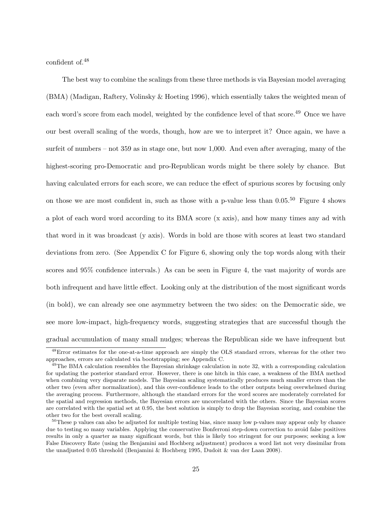confident of.<sup>48</sup>

The best way to combine the scalings from these three methods is via Bayesian model averaging (BMA) (Madigan, Raftery, Volinsky & Hoeting 1996), which essentially takes the weighted mean of each word's score from each model, weighted by the confidence level of that score.<sup>49</sup> Once we have our best overall scaling of the words, though, how are we to interpret it? Once again, we have a surfeit of numbers – not 359 as in stage one, but now 1,000. And even after averaging, many of the highest-scoring pro-Democratic and pro-Republican words might be there solely by chance. But having calculated errors for each score, we can reduce the effect of spurious scores by focusing only on those we are most confident in, such as those with a p-value less than  $0.05^{50}$  Figure 4 shows a plot of each word word according to its BMA score (x axis), and how many times any ad with that word in it was broadcast (y axis). Words in bold are those with scores at least two standard deviations from zero. (See Appendix C for Figure 6, showing only the top words along with their scores and 95% confidence intervals.) As can be seen in Figure 4, the vast majority of words are both infrequent and have little effect. Looking only at the distribution of the most significant words (in bold), we can already see one asymmetry between the two sides: on the Democratic side, we see more low-impact, high-frequency words, suggesting strategies that are successful though the gradual accumulation of many small nudges; whereas the Republican side we have infrequent but

<sup>48</sup>Error estimates for the one-at-a-time approach are simply the OLS standard errors, whereas for the other two approaches, errors are calculated via bootstrapping; see Appendix C.

 $^{49}$ The BMA calculation resembles the Bayesian shrinkage calculation in note 32, with a corresponding calculation for updating the posterior standard error. However, there is one hitch in this case, a weakness of the BMA method when combining very disparate models. The Bayesian scaling systematically produces much smaller errors than the other two (even after normalization), and this over-confidence leads to the other outputs being overwhelmed during the averaging process. Furthermore, although the standard errors for the word scores are moderately correlated for the spatial and regression methods, the Bayesian errors are uncorrelated with the others. Since the Bayesian scores are correlated with the spatial set at 0.95, the best solution is simply to drop the Bayesian scoring, and combine the other two for the best overall scaling.

 $50$ These p values can also be adjusted for multiple testing bias, since many low p-values may appear only by chance due to testing so many variables. Applying the conservative Bonferroni step-down correction to avoid false positives results in only a quarter as many significant words, but this is likely too stringent for our purposes; seeking a low False Discovery Rate (using the Benjamini and Hochberg adjustment) produces a word list not very dissimilar from the unadjusted 0.05 threshold (Benjamini & Hochberg 1995, Dudoit & van der Laan 2008).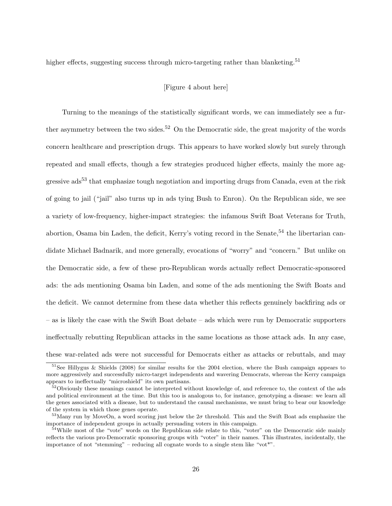higher effects, suggesting success through micro-targeting rather than blanketing.<sup>51</sup>

### [Figure 4 about here]

Turning to the meanings of the statistically significant words, we can immediately see a further asymmetry between the two sides.<sup>52</sup> On the Democratic side, the great majority of the words concern healthcare and prescription drugs. This appears to have worked slowly but surely through repeated and small effects, though a few strategies produced higher effects, mainly the more aggressive  $\text{ads}^{53}$  that emphasize tough negotiation and importing drugs from Canada, even at the risk of going to jail ("jail" also turns up in ads tying Bush to Enron). On the Republican side, we see a variety of low-frequency, higher-impact strategies: the infamous Swift Boat Veterans for Truth, abortion, Osama bin Laden, the deficit, Kerry's voting record in the Senate,  $54$  the libertarian candidate Michael Badnarik, and more generally, evocations of "worry" and "concern." But unlike on the Democratic side, a few of these pro-Republican words actually reflect Democratic-sponsored ads: the ads mentioning Osama bin Laden, and some of the ads mentioning the Swift Boats and the deficit. We cannot determine from these data whether this reflects genuinely backfiring ads or – as is likely the case with the Swift Boat debate – ads which were run by Democratic supporters ineffectually rebutting Republican attacks in the same locations as those attack ads. In any case, these war-related ads were not successful for Democrats either as attacks or rebuttals, and may

 $51$ See Hillygus & Shields (2008) for similar results for the 2004 election, where the Bush campaign appears to more aggressively and successfully micro-target independents and wavering Democrats, whereas the Kerry campaign appears to ineffectually "microshield" its own partisans.

<sup>&</sup>lt;sup>52</sup>Obviously these meanings cannot be interpreted without knowledge of, and reference to, the context of the ads and political environment at the time. But this too is analogous to, for instance, genotyping a disease: we learn all the genes associated with a disease, but to understand the causal mechanisms, we must bring to bear our knowledge of the system in which those genes operate.

<sup>&</sup>lt;sup>53</sup>Many run by MoveOn, a word scoring just below the  $2\sigma$  threshold. This and the Swift Boat ads emphasize the importance of independent groups in actually persuading voters in this campaign.

<sup>&</sup>lt;sup>54</sup>While most of the "vote" words on the Republican side relate to this, "voter" on the Democratic side mainly reflects the various pro-Democratic sponsoring groups with "voter" in their names. This illustrates, incidentally, the importance of not "stemming" – reducing all cognate words to a single stem like "vot\*".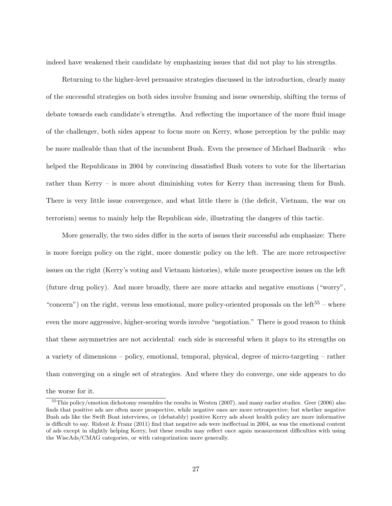indeed have weakened their candidate by emphasizing issues that did not play to his strengths.

Returning to the higher-level persuasive strategies discussed in the introduction, clearly many of the successful strategies on both sides involve framing and issue ownership, shifting the terms of debate towards each candidate's strengths. And reflecting the importance of the more fluid image of the challenger, both sides appear to focus more on Kerry, whose perception by the public may be more malleable than that of the incumbent Bush. Even the presence of Michael Badnarik – who helped the Republicans in 2004 by convincing dissatisfied Bush voters to vote for the libertarian rather than Kerry – is more about diminishing votes for Kerry than increasing them for Bush. There is very little issue convergence, and what little there is (the deficit, Vietnam, the war on terrorism) seems to mainly help the Republican side, illustrating the dangers of this tactic.

More generally, the two sides differ in the sorts of issues their successful ads emphasize: There is more foreign policy on the right, more domestic policy on the left. The are more retrospective issues on the right (Kerry's voting and Vietnam histories), while more prospective issues on the left (future drug policy). And more broadly, there are more attacks and negative emotions ("worry", "concern") on the right, versus less emotional, more policy-oriented proposals on the left<sup>55</sup> – where even the more aggressive, higher-scoring words involve "negotiation." There is good reason to think that these asymmetries are not accidental: each side is successful when it plays to its strengths on a variety of dimensions – policy, emotional, temporal, physical, degree of micro-targeting – rather than converging on a single set of strategies. And where they do converge, one side appears to do

the worse for it.

<sup>&</sup>lt;sup>55</sup>This policy/emotion dichotomy resembles the results in Westen (2007), and many earlier studies. Geer (2006) also finds that positive ads are often more prospective, while negative ones are more retrospective; but whether negative Bush ads like the Swift Boat interviews, or (debatably) positive Kerry ads about health policy are more informative is difficult to say. Ridout & Franz (2011) find that negative ads were ineffectual in 2004, as was the emotional content of ads except in slightly helping Kerry, but these results may reflect once again measurement difficulties with using the WiscAds/CMAG categories, or with categorization more generally.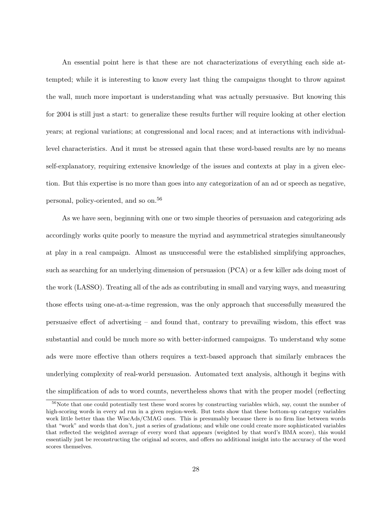An essential point here is that these are not characterizations of everything each side attempted; while it is interesting to know every last thing the campaigns thought to throw against the wall, much more important is understanding what was actually persuasive. But knowing this for 2004 is still just a start: to generalize these results further will require looking at other election years; at regional variations; at congressional and local races; and at interactions with individuallevel characteristics. And it must be stressed again that these word-based results are by no means self-explanatory, requiring extensive knowledge of the issues and contexts at play in a given election. But this expertise is no more than goes into any categorization of an ad or speech as negative, personal, policy-oriented, and so on.<sup>56</sup>

As we have seen, beginning with one or two simple theories of persuasion and categorizing ads accordingly works quite poorly to measure the myriad and asymmetrical strategies simultaneously at play in a real campaign. Almost as unsuccessful were the established simplifying approaches, such as searching for an underlying dimension of persuasion (PCA) or a few killer ads doing most of the work (LASSO). Treating all of the ads as contributing in small and varying ways, and measuring those effects using one-at-a-time regression, was the only approach that successfully measured the persuasive effect of advertising – and found that, contrary to prevailing wisdom, this effect was substantial and could be much more so with better-informed campaigns. To understand why some ads were more effective than others requires a text-based approach that similarly embraces the underlying complexity of real-world persuasion. Automated text analysis, although it begins with the simplification of ads to word counts, nevertheless shows that with the proper model (reflecting

 $56$ Note that one could potentially test these word scores by constructing variables which, say, count the number of high-scoring words in every ad run in a given region-week. But tests show that these bottom-up category variables work little better than the WiscAds/CMAG ones. This is presumably because there is no firm line between words that "work" and words that don't, just a series of gradations; and while one could create more sophisticated variables that reflected the weighted average of every word that appears (weighted by that word's BMA score), this would essentially just be reconstructing the original ad scores, and offers no additional insight into the accuracy of the word scores themselves.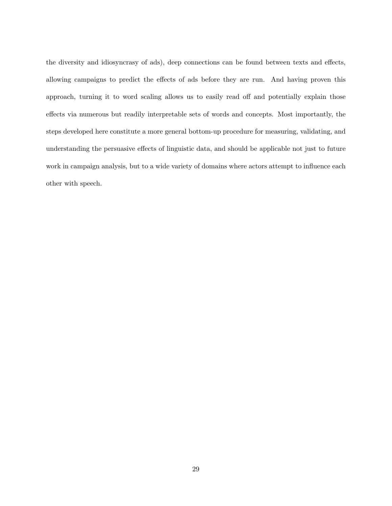the diversity and idiosyncrasy of ads), deep connections can be found between texts and effects, allowing campaigns to predict the effects of ads before they are run. And having proven this approach, turning it to word scaling allows us to easily read off and potentially explain those effects via numerous but readily interpretable sets of words and concepts. Most importantly, the steps developed here constitute a more general bottom-up procedure for measuring, validating, and understanding the persuasive effects of linguistic data, and should be applicable not just to future work in campaign analysis, but to a wide variety of domains where actors attempt to influence each other with speech.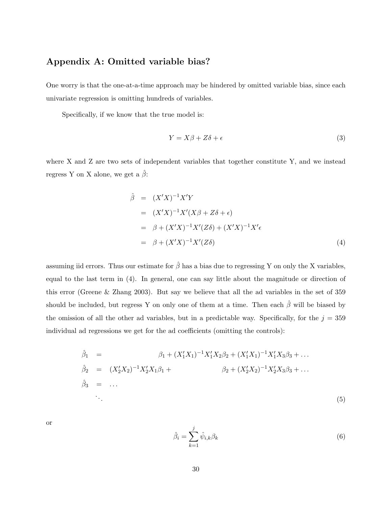# Appendix A: Omitted variable bias?

One worry is that the one-at-a-time approach may be hindered by omitted variable bias, since each univariate regression is omitting hundreds of variables.

Specifically, if we know that the true model is:

$$
Y = X\beta + Z\delta + \epsilon \tag{3}
$$

where X and Z are two sets of independent variables that together constitute Y, and we instead regress Y on X alone, we get a  $\hat{\beta}$ :

$$
\hat{\beta} = (X'X)^{-1}X'Y \n= (X'X)^{-1}X'(X\beta + Z\delta + \epsilon) \n= \beta + (X'X)^{-1}X'(Z\delta) + (X'X)^{-1}X'\epsilon \n= \beta + (X'X)^{-1}X'(Z\delta)
$$
\n(4)

assuming iid errors. Thus our estimate for  $\hat{\beta}$  has a bias due to regressing Y on only the X variables, equal to the last term in (4). In general, one can say little about the magnitude or direction of this error (Greene & Zhang 2003). But say we believe that all the ad variables in the set of 359 should be included, but regress Y on only one of them at a time. Then each  $\hat{\beta}$  will be biased by the omission of all the other ad variables, but in a predictable way. Specifically, for the  $j = 359$ individual ad regressions we get for the ad coefficients (omitting the controls):

$$
\hat{\beta}_1 = \beta_1 + (X_1'X_1)^{-1}X_1'X_2\beta_2 + (X_1'X_1)^{-1}X_1'X_3\beta_3 + \dots
$$
  
\n
$$
\hat{\beta}_2 = (X_2'X_2)^{-1}X_2'X_1\beta_1 + \beta_2 + (X_2'X_2)^{-1}X_2'X_3\beta_3 + \dots
$$
  
\n
$$
\hat{\beta}_3 = \dots
$$
  
\n
$$
\vdots
$$
  
\n(5)

or

$$
\hat{\beta}_i = \sum_{k=1}^j \hat{\psi}_{i,k} \beta_k \tag{6}
$$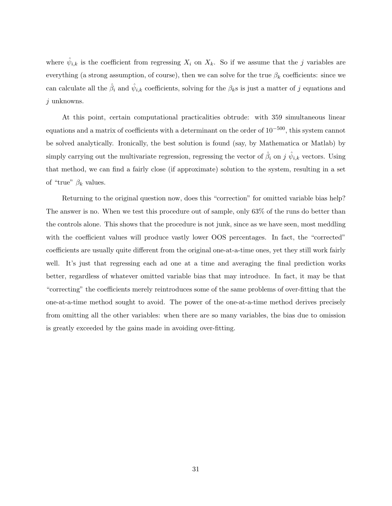where  $\hat{\psi}_{i,k}$  is the coefficient from regressing  $X_i$  on  $X_k$ . So if we assume that the j variables are everything (a strong assumption, of course), then we can solve for the true  $\beta_k$  coefficients: since we can calculate all the  $\hat{\beta}_i$  and  $\hat{\psi}_{i,k}$  coefficients, solving for the  $\beta_k$ s is just a matter of j equations and j unknowns.

At this point, certain computational practicalities obtrude: with 359 simultaneous linear equations and a matrix of coefficients with a determinant on the order of  $10^{-500}$ , this system cannot be solved analytically. Ironically, the best solution is found (say, by Mathematica or Matlab) by simply carrying out the multivariate regression, regressing the vector of  $\hat{\beta}_i$  on j  $\hat{\psi}_{i,k}$  vectors. Using that method, we can find a fairly close (if approximate) solution to the system, resulting in a set of "true"  $\beta_k$  values.

Returning to the original question now, does this "correction" for omitted variable bias help? The answer is no. When we test this procedure out of sample, only 63% of the runs do better than the controls alone. This shows that the procedure is not junk, since as we have seen, most meddling with the coefficient values will produce vastly lower OOS percentages. In fact, the "corrected" coefficients are usually quite different from the original one-at-a-time ones, yet they still work fairly well. It's just that regressing each ad one at a time and averaging the final prediction works better, regardless of whatever omitted variable bias that may introduce. In fact, it may be that "correcting" the coefficients merely reintroduces some of the same problems of over-fitting that the one-at-a-time method sought to avoid. The power of the one-at-a-time method derives precisely from omitting all the other variables: when there are so many variables, the bias due to omission is greatly exceeded by the gains made in avoiding over-fitting.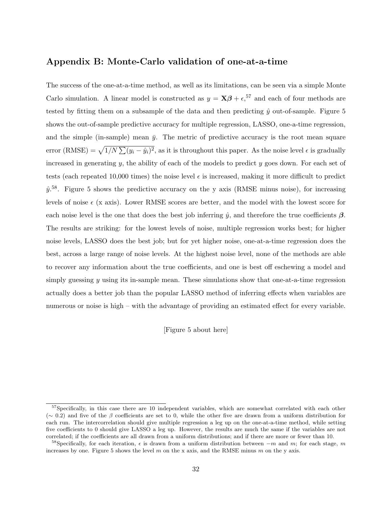## Appendix B: Monte-Carlo validation of one-at-a-time

The success of the one-at-a-time method, as well as its limitations, can be seen via a simple Monte Carlo simulation. A linear model is constructed as  $y = \mathbf{X}\boldsymbol{\beta} + \epsilon$ ,  $57$  and each of four methods are tested by fitting them on a subsample of the data and then predicting  $\hat{y}$  out-of-sample. Figure 5 shows the out-of-sample predictive accuracy for multiple regression, LASSO, one-a-time regression, and the simple (in-sample) mean  $\bar{y}$ . The metric of predictive accuracy is the root mean square error (RMSE) =  $\sqrt{1/N} \sum (y_i - \hat{y}_i)^2$ , as it is throughout this paper. As the noise level  $\epsilon$  is gradually increased in generating y, the ability of each of the models to predict y goes down. For each set of tests (each repeated 10,000 times) the noise level  $\epsilon$  is increased, making it more difficult to predict  $\hat{y}$ <sup>58</sup>. Figure 5 shows the predictive accuracy on the y axis (RMSE minus noise), for increasing levels of noise  $\epsilon$  (x axis). Lower RMSE scores are better, and the model with the lowest score for each noise level is the one that does the best job inferring  $\hat{y}$ , and therefore the true coefficients  $\beta$ . The results are striking: for the lowest levels of noise, multiple regression works best; for higher noise levels, LASSO does the best job; but for yet higher noise, one-at-a-time regression does the best, across a large range of noise levels. At the highest noise level, none of the methods are able to recover any information about the true coefficients, and one is best off eschewing a model and simply guessing  $y$  using its in-sample mean. These simulations show that one-at-a-time regression actually does a better job than the popular LASSO method of inferring effects when variables are numerous or noise is high – with the advantage of providing an estimated effect for every variable.

[Figure 5 about here]

 $57$ Specifically, in this case there are 10 independent variables, which are somewhat correlated with each other (∼ 0.2) and five of the β coefficients are set to 0, while the other five are drawn from a uniform distribution for each run. The intercorrelation should give multiple regression a leg up on the one-at-a-time method, while setting five coefficients to 0 should give LASSO a leg up. However, the results are much the same if the variables are not correlated; if the coefficients are all drawn from a uniform distributions; and if there are more or fewer than 10.

<sup>&</sup>lt;sup>58</sup>Specifically, for each iteration,  $\epsilon$  is drawn from a uniform distribution between  $-m$  and m; for each stage, m increases by one. Figure 5 shows the level  $m$  on the x axis, and the RMSE minus  $m$  on the y axis.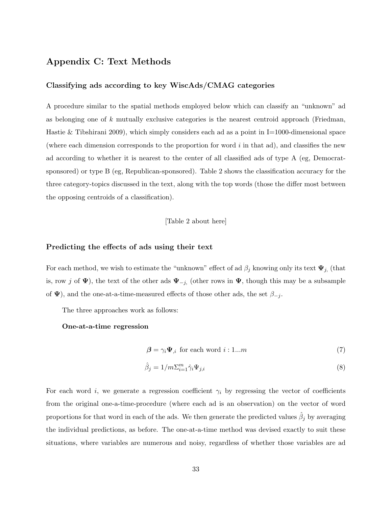# Appendix C: Text Methods

### Classifying ads according to key WiscAds/CMAG categories

A procedure similar to the spatial methods employed below which can classify an "unknown" ad as belonging one of k mutually exclusive categories is the nearest centroid approach (Friedman, Hastie & Tibshirani 2009), which simply considers each ad as a point in  $I=1000$ -dimensional space (where each dimension corresponds to the proportion for word  $i$  in that ad), and classifies the new ad according to whether it is nearest to the center of all classified ads of type A (eg, Democratsponsored) or type B (eg, Republican-sponsored). Table 2 shows the classification accuracy for the three category-topics discussed in the text, along with the top words (those the differ most between the opposing centroids of a classification).

[Table 2 about here]

### Predicting the effects of ads using their text

For each method, we wish to estimate the "unknown" effect of ad  $\beta_j$  knowing only its text  $\Psi_{j}$ , (that is, row j of  $\Psi$ ), the text of the other ads  $\Psi_{-j}$ , (other rows in  $\Psi$ , though this may be a subsample of  $\Psi$ ), and the one-at-a-time-measured effects of those other ads, the set  $\beta_{-j}$ .

The three approaches work as follows:

#### One-at-a-time regression

$$
\beta = \gamma_i \Psi_{,i} \text{ for each word } i:1...m
$$
 (7)

$$
\hat{\beta}_j = 1/m \sum_{i=1}^m \hat{\gamma}_i \Psi_{j,i} \tag{8}
$$

For each word i, we generate a regression coefficient  $\gamma_i$  by regressing the vector of coefficients from the original one-a-time-procedure (where each ad is an observation) on the vector of word proportions for that word in each of the ads. We then generate the predicted values  $\hat{\beta}_j$  by averaging the individual predictions, as before. The one-at-a-time method was devised exactly to suit these situations, where variables are numerous and noisy, regardless of whether those variables are ad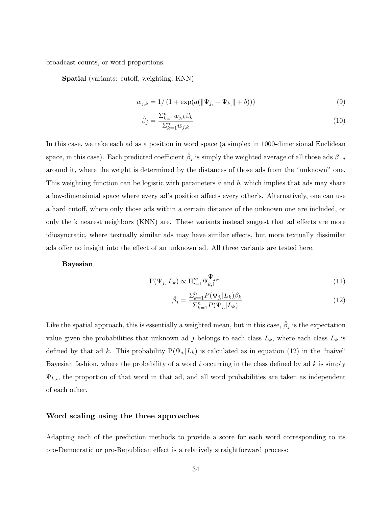broadcast counts, or word proportions.

Spatial (variants: cutoff, weighting, KNN)

$$
w_{j,k} = 1/(1 + \exp(a(||\Psi_{j,} - \Psi_{k,}|| + b)))
$$
\n(9)

$$
\hat{\beta}_j = \frac{\Sigma_{k=1}^n w_{j,k} \beta_k}{\Sigma_{k=1}^n w_{j,k}}\tag{10}
$$

In this case, we take each ad as a position in word space (a simplex in 1000-dimensional Euclidean space, in this case). Each predicted coefficient  $\hat{\beta}_j$  is simply the weighted average of all those ads  $\beta_{-j}$ around it, where the weight is determined by the distances of those ads from the "unknown" one. This weighting function can be logistic with parameters  $a$  and  $b$ , which implies that ads may share a low-dimensional space where every ad's position affects every other's. Alternatively, one can use a hard cutoff, where only those ads within a certain distance of the unknown one are included, or only the k nearest neighbors (KNN) are. These variants instead suggest that ad effects are more idiosyncratic, where textually similar ads may have similar effects, but more textually dissimilar ads offer no insight into the effect of an unknown ad. All three variants are tested here.

### Bayesian

$$
P(\Psi_{j,}|L_k) \propto \Pi_{i=1}^m \Psi_{k,i}^{\Psi_{j,i}} \tag{11}
$$

$$
\hat{\beta}_j = \frac{\sum_{k=1}^n P(\Psi_{j,}|L_k)\beta_k}{\sum_{k=1}^n P(\Psi_{j,}|L_k)}\tag{12}
$$

Like the spatial approach, this is essentially a weighted mean, but in this case,  $\hat{\beta}_j$  is the expectation value given the probabilities that unknown ad j belongs to each class  $L_k$ , where each class  $L_k$  is defined by that ad k. This probability  $P(\Psi_{j}|L_{k})$  is calculated as in equation (12) in the "naive" Bayesian fashion, where the probability of a word i occurring in the class defined by ad  $k$  is simply  $\Psi_{k,i}$ , the proportion of that word in that ad, and all word probabilities are taken as independent of each other.

### Word scaling using the three approaches

Adapting each of the prediction methods to provide a score for each word corresponding to its pro-Democratic or pro-Republican effect is a relatively straightforward process: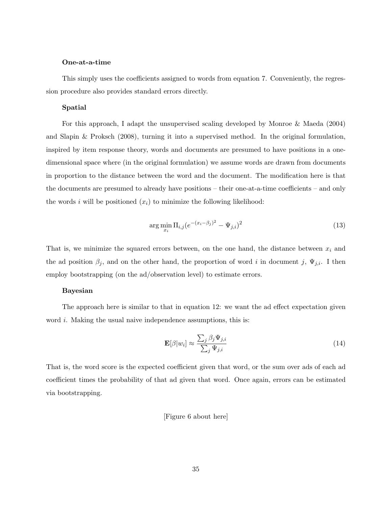### One-at-a-time

This simply uses the coefficients assigned to words from equation 7. Conveniently, the regression procedure also provides standard errors directly.

#### Spatial

For this approach, I adapt the unsupervised scaling developed by Monroe & Maeda (2004) and Slapin & Proksch (2008), turning it into a supervised method. In the original formulation, inspired by item response theory, words and documents are presumed to have positions in a onedimensional space where (in the original formulation) we assume words are drawn from documents in proportion to the distance between the word and the document. The modification here is that the documents are presumed to already have positions – their one-at-a-time coefficients – and only the words i will be positioned  $(x_i)$  to minimize the following likelihood:

$$
\arg\min_{x_i} \Pi_{i,j} (e^{-(x_i - \beta_j)^2} - \Psi_{j,i})^2
$$
\n(13)

That is, we minimize the squared errors between, on the one hand, the distance between  $x_i$  and the ad position  $\beta_j$ , and on the other hand, the proportion of word i in document j,  $\Psi_{j,i}$ . I then employ bootstrapping (on the ad/observation level) to estimate errors.

#### Bayesian

The approach here is similar to that in equation 12: we want the ad effect expectation given word *i*. Making the usual naive independence assumptions, this is:

$$
\mathbf{E}[\beta|w_i] \approx \frac{\sum_j \beta_j \Psi_{j,i}}{\sum_j \Psi_{j,i}} \tag{14}
$$

That is, the word score is the expected coefficient given that word, or the sum over ads of each ad coefficient times the probability of that ad given that word. Once again, errors can be estimated via bootstrapping.

### [Figure 6 about here]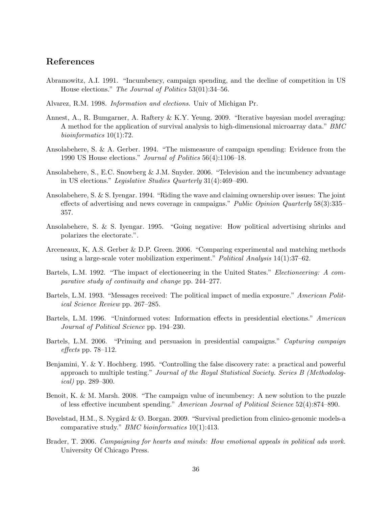# References

- Abramowitz, A.I. 1991. "Incumbency, campaign spending, and the decline of competition in US House elections." The Journal of Politics 53(01):34–56.
- Alvarez, R.M. 1998. Information and elections. Univ of Michigan Pr.
- Annest, A., R. Bumgarner, A. Raftery & K.Y. Yeung. 2009. "Iterative bayesian model averaging: A method for the application of survival analysis to high-dimensional microarray data." BMC bioinformatics 10(1):72.
- Ansolabehere, S. & A. Gerber. 1994. "The mismeasure of campaign spending: Evidence from the 1990 US House elections." Journal of Politics 56(4):1106–18.
- Ansolabehere, S., E.C. Snowberg & J.M. Snyder. 2006. "Television and the incumbency advantage in US elections." Legislative Studies Quarterly 31(4):469–490.
- Ansolabehere, S. & S. Iyengar. 1994. "Riding the wave and claiming ownership over issues: The joint effects of advertising and news coverage in campaigns." Public Opinion Quarterly 58(3):335– 357.
- Ansolabehere, S. & S. Iyengar. 1995. "Going negative: How political advertising shrinks and polarizes the electorate.".
- Arceneaux, K, A.S. Gerber & D.P. Green. 2006. "Comparing experimental and matching methods using a large-scale voter mobilization experiment." Political Analysis 14(1):37–62.
- Bartels, L.M. 1992. "The impact of electioneering in the United States." Electioneering: A comparative study of continuity and change pp. 244–277.
- Bartels, L.M. 1993. "Messages received: The political impact of media exposure." American Political Science Review pp. 267–285.
- Bartels, L.M. 1996. "Uninformed votes: Information effects in presidential elections." American Journal of Political Science pp. 194–230.
- Bartels, L.M. 2006. "Priming and persuasion in presidential campaigns." Capturing campaign effects pp.  $78-112$ .
- Benjamini, Y. & Y. Hochberg. 1995. "Controlling the false discovery rate: a practical and powerful approach to multiple testing." Journal of the Royal Statistical Society. Series B (Methodological) pp. 289–300.
- Benoit, K. & M. Marsh. 2008. "The campaign value of incumbency: A new solution to the puzzle of less effective incumbent spending." American Journal of Political Science 52(4):874–890.
- Bøvelstad, H.M., S. Nygård & Ø. Borgan. 2009. "Survival prediction from clinico-genomic models-a comparative study." BMC bioinformatics 10(1):413.
- Brader, T. 2006. Campaigning for hearts and minds: How emotional appeals in political ads work. University Of Chicago Press.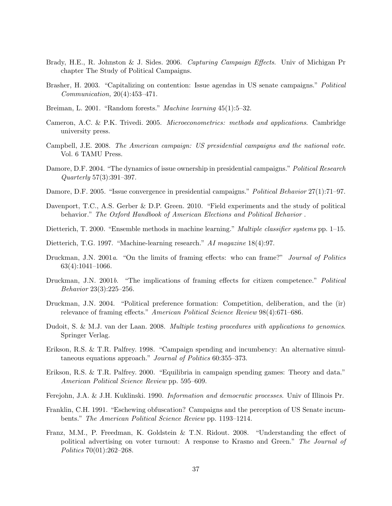- Brady, H.E., R. Johnston & J. Sides. 2006. Capturing Campaign Effects. Univ of Michigan Pr chapter The Study of Political Campaigns.
- Brasher, H. 2003. "Capitalizing on contention: Issue agendas in US senate campaigns." Political Communication, 20(4):453–471.
- Breiman, L. 2001. "Random forests." Machine learning 45(1):5–32.
- Cameron, A.C. & P.K. Trivedi. 2005. Microeconometrics: methods and applications. Cambridge university press.
- Campbell, J.E. 2008. The American campaign: US presidential campaigns and the national vote. Vol. 6 TAMU Press.
- Damore, D.F. 2004. "The dynamics of issue ownership in presidential campaigns." *Political Research* Quarterly 57(3):391–397.
- Damore, D.F. 2005. "Issue convergence in presidential campaigns." Political Behavior 27(1):71–97.
- Davenport, T.C., A.S. Gerber & D.P. Green. 2010. "Field experiments and the study of political behavior." The Oxford Handbook of American Elections and Political Behavior .
- Dietterich, T. 2000. "Ensemble methods in machine learning." Multiple classifier systems pp. 1–15.
- Dietterich, T.G. 1997. "Machine-learning research." AI magazine 18(4):97.
- Druckman, J.N. 2001a. "On the limits of framing effects: who can frame?" Journal of Politics 63(4):1041–1066.
- Druckman, J.N. 2001b. "The implications of framing effects for citizen competence." Political Behavior 23(3):225–256.
- Druckman, J.N. 2004. "Political preference formation: Competition, deliberation, and the (ir) relevance of framing effects." American Political Science Review 98(4):671–686.
- Dudoit, S. & M.J. van der Laan. 2008. Multiple testing procedures with applications to genomics. Springer Verlag.
- Erikson, R.S. & T.R. Palfrey. 1998. "Campaign spending and incumbency: An alternative simultaneous equations approach." Journal of Politics 60:355-373.
- Erikson, R.S. & T.R. Palfrey. 2000. "Equilibria in campaign spending games: Theory and data." American Political Science Review pp. 595–609.
- Ferejohn, J.A. & J.H. Kuklinski. 1990. Information and democratic processes. Univ of Illinois Pr.
- Franklin, C.H. 1991. "Eschewing obfuscation? Campaigns and the perception of US Senate incumbents." The American Political Science Review pp. 1193–1214.
- Franz, M.M., P. Freedman, K. Goldstein & T.N. Ridout. 2008. "Understanding the effect of political advertising on voter turnout: A response to Krasno and Green." The Journal of Politics 70(01):262–268.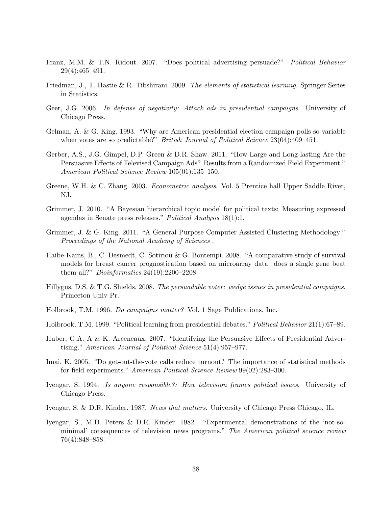- Franz, M.M. & T.N. Ridout. 2007. "Does political advertising persuade?" Political Behavior 29(4):465–491.
- Friedman, J., T. Hastie & R. Tibshirani. 2009. The elements of statistical learning. Springer Series in Statistics.
- Geer, J.G. 2006. In defense of negativity: Attack ads in presidential campaigns. University of Chicago Press.
- Gelman, A. & G. King. 1993. "Why are American presidential election campaign polls so variable when votes are so predictable?" *British Journal of Political Science* 23(04):409–451.
- Gerber, A.S., J.G. Gimpel, D.P. Green & D.R. Shaw. 2011. "How Large and Long-lasting Are the Persuasive Effects of Televised Campaign Ads? Results from a Randomized Field Experiment." American Political Science Review 105(01):135–150.
- Greene, W.H. & C. Zhang. 2003. Econometric analysis. Vol. 5 Prentice hall Upper Saddle River, NJ.
- Grimmer, J. 2010. "A Bayesian hierarchical topic model for political texts: Measuring expressed agendas in Senate press releases." Political Analysis 18(1):1.
- Grimmer, J. & G. King. 2011. "A General Purpose Computer-Assisted Clustering Methodology." Proceedings of the National Academy of Sciences .
- Haibe-Kains, B., C. Desmedt, C. Sotiriou & G. Bontempi. 2008. "A comparative study of survival models for breast cancer prognostication based on microarray data: does a single gene beat them all?" Bioinformatics 24(19):2200–2208.
- Hillygus, D.S. & T.G. Shields. 2008. The persuadable voter: wedge issues in presidential campaigns. Princeton Univ Pr.
- Holbrook, T.M. 1996. Do campaigns matter? Vol. 1 Sage Publications, Inc.
- Holbrook, T.M. 1999. "Political learning from presidential debates." Political Behavior 21(1):67–89.
- Huber, G.A. A & K. Arceneaux. 2007. "Identifying the Persuasive Effects of Presidential Advertising." American Journal of Political Science 51(4):957–977.
- Imai, K. 2005. "Do get-out-the-vote calls reduce turnout? The importance of statistical methods for field experiments." American Political Science Review 99(02):283–300.
- Iyengar, S. 1994. Is anyone responsible?: How television frames political issues. University of Chicago Press.
- Iyengar, S. & D.R. Kinder. 1987. News that matters. University of Chicago Press Chicago, IL.
- Iyengar, S., M.D. Peters & D.R. Kinder. 1982. "Experimental demonstrations of the 'not-sominimal' consequences of television news programs." The American political science review 76(4):848–858.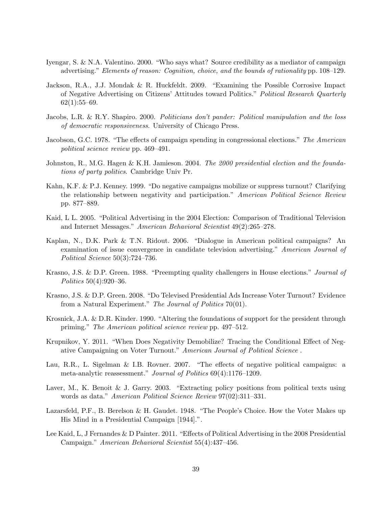- Iyengar, S. & N.A. Valentino. 2000. "Who says what? Source credibility as a mediator of campaign advertising." Elements of reason: Cognition, choice, and the bounds of rationality pp. 108–129.
- Jackson, R.A., J.J. Mondak & R. Huckfeldt. 2009. "Examining the Possible Corrosive Impact of Negative Advertising on Citizens' Attitudes toward Politics." Political Research Quarterly  $62(1):55-69.$
- Jacobs, L.R. & R.Y. Shapiro. 2000. Politicians don't pander: Political manipulation and the loss of democratic responsiveness. University of Chicago Press.
- Jacobson, G.C. 1978. "The effects of campaign spending in congressional elections." The American political science review pp. 469–491.
- Johnston, R., M.G. Hagen & K.H. Jamieson. 2004. The 2000 presidential election and the foundations of party politics. Cambridge Univ Pr.
- Kahn, K.F. & P.J. Kenney. 1999. "Do negative campaigns mobilize or suppress turnout? Clarifying the relationship between negativity and participation." American Political Science Review pp. 877–889.
- Kaid, L L. 2005. "Political Advertising in the 2004 Election: Comparison of Traditional Television and Internet Messages." American Behavioral Scientist 49(2):265–278.
- Kaplan, N., D.K. Park & T.N. Ridout. 2006. "Dialogue in American political campaigns? An examination of issue convergence in candidate television advertising." American Journal of Political Science 50(3):724–736.
- Krasno, J.S. & D.P. Green. 1988. "Preempting quality challengers in House elections." *Journal of* Politics 50(4):920–36.
- Krasno, J.S. & D.P. Green. 2008. "Do Televised Presidential Ads Increase Voter Turnout? Evidence from a Natural Experiment." The Journal of Politics 70(01).
- Krosnick, J.A. & D.R. Kinder. 1990. "Altering the foundations of support for the president through priming." The American political science review pp. 497–512.
- Krupnikov, Y. 2011. "When Does Negativity Demobilize? Tracing the Conditional Effect of Negative Campaigning on Voter Turnout." American Journal of Political Science .
- Lau, R.R., L. Sigelman & I.B. Rovner. 2007. "The effects of negative political campaigns: a meta-analytic reassessment." Journal of Politics 69(4):1176–1209.
- Laver, M., K. Benoit & J. Garry. 2003. "Extracting policy positions from political texts using words as data." American Political Science Review 97(02):311–331.
- Lazarsfeld, P.F., B. Berelson & H. Gaudet. 1948. "The People's Choice. How the Voter Makes up His Mind in a Presidential Campaign [1944].".
- Lee Kaid, L, J Fernandes & D Painter. 2011. "Effects of Political Advertising in the 2008 Presidential Campaign." American Behavioral Scientist 55(4):437–456.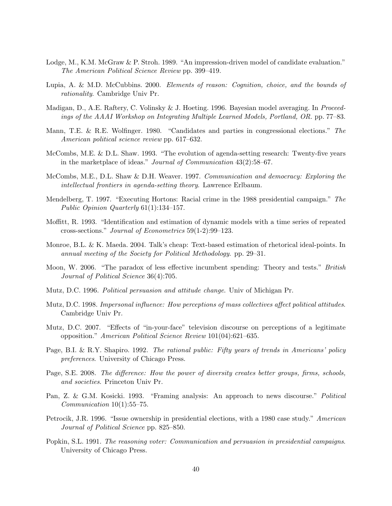- Lodge, M., K.M. McGraw & P. Stroh. 1989. "An impression-driven model of candidate evaluation." The American Political Science Review pp. 399–419.
- Lupia, A. & M.D. McCubbins. 2000. Elements of reason: Cognition, choice, and the bounds of rationality. Cambridge Univ Pr.
- Madigan, D., A.E. Raftery, C. Volinsky & J. Hoeting. 1996. Bayesian model averaging. In Proceedings of the AAAI Workshop on Integrating Multiple Learned Models, Portland, OR. pp. 77–83.
- Mann, T.E. & R.E. Wolfinger. 1980. "Candidates and parties in congressional elections." The American political science review pp. 617–632.
- McCombs, M.E. & D.L. Shaw. 1993. "The evolution of agenda-setting research: Twenty-five years in the marketplace of ideas." Journal of Communication 43(2):58–67.
- McCombs, M.E., D.L. Shaw & D.H. Weaver. 1997. Communication and democracy: Exploring the intellectual frontiers in agenda-setting theory. Lawrence Erlbaum.
- Mendelberg, T. 1997. "Executing Hortons: Racial crime in the 1988 presidential campaign." The Public Opinion Quarterly 61(1):134–157.
- Moffitt, R. 1993. "Identification and estimation of dynamic models with a time series of repeated cross-sections." Journal of Econometrics 59(1-2):99–123.
- Monroe, B.L. & K. Maeda. 2004. Talk's cheap: Text-based estimation of rhetorical ideal-points. In annual meeting of the Society for Political Methodology. pp. 29–31.
- Moon, W. 2006. "The paradox of less effective incumbent spending: Theory and tests." *British* Journal of Political Science 36(4):705.
- Mutz, D.C. 1996. Political persuasion and attitude change. Univ of Michigan Pr.
- Mutz, D.C. 1998. Impersonal influence: How perceptions of mass collectives affect political attitudes. Cambridge Univ Pr.
- Mutz, D.C. 2007. "Effects of "in-your-face" television discourse on perceptions of a legitimate opposition." American Political Science Review 101(04):621–635.
- Page, B.I. & R.Y. Shapiro. 1992. The rational public: Fifty years of trends in Americans' policy preferences. University of Chicago Press.
- Page, S.E. 2008. The difference: How the power of diversity creates better groups, firms, schools, and societies. Princeton Univ Pr.
- Pan, Z. & G.M. Kosicki. 1993. "Framing analysis: An approach to news discourse." Political  $Communication 10(1):55–75.$
- Petrocik, J.R. 1996. "Issue ownership in presidential elections, with a 1980 case study." American Journal of Political Science pp. 825–850.
- Popkin, S.L. 1991. The reasoning voter: Communication and persuasion in presidential campaigns. University of Chicago Press.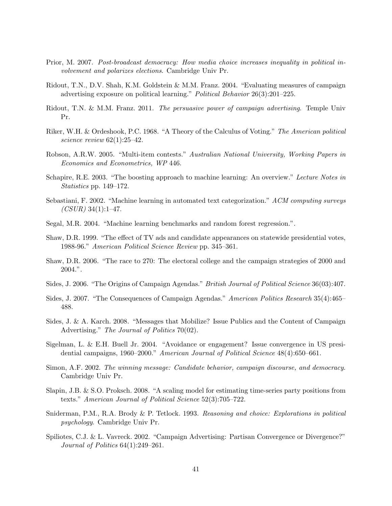- Prior, M. 2007. Post-broadcast democracy: How media choice increases inequality in political involvement and polarizes elections. Cambridge Univ Pr.
- Ridout, T.N., D.V. Shah, K.M. Goldstein & M.M. Franz. 2004. "Evaluating measures of campaign advertising exposure on political learning." Political Behavior 26(3):201–225.
- Ridout, T.N. & M.M. Franz. 2011. The persuasive power of campaign advertising. Temple Univ Pr.
- Riker, W.H. & Ordeshook, P.C. 1968. "A Theory of the Calculus of Voting." The American political science review  $62(1):25-42$ .
- Robson, A.R.W. 2005. "Multi-item contests." Australian National University, Working Papers in Economics and Econometrics, WP 446.
- Schapire, R.E. 2003. "The boosting approach to machine learning: An overview." Lecture Notes in Statistics pp. 149–172.
- Sebastiani, F. 2002. "Machine learning in automated text categorization." ACM computing surveys  $(CSUR)$  34(1):1–47.
- Segal, M.R. 2004. "Machine learning benchmarks and random forest regression.".
- Shaw, D.R. 1999. "The effect of TV ads and candidate appearances on statewide presidential votes, 1988-96." American Political Science Review pp. 345–361.
- Shaw, D.R. 2006. "The race to 270: The electoral college and the campaign strategies of 2000 and 2004.".
- Sides, J. 2006. "The Origins of Campaign Agendas." *British Journal of Political Science* 36(03):407.
- Sides, J. 2007. "The Consequences of Campaign Agendas." American Politics Research 35(4):465– 488.
- Sides, J. & A. Karch. 2008. "Messages that Mobilize? Issue Publics and the Content of Campaign Advertising." The Journal of Politics 70(02).
- Sigelman, L. & E.H. Buell Jr. 2004. "Avoidance or engagement? Issue convergence in US presidential campaigns, 1960–2000." American Journal of Political Science 48(4):650–661.
- Simon, A.F. 2002. The winning message: Candidate behavior, campaign discourse, and democracy. Cambridge Univ Pr.
- Slapin, J.B. & S.O. Proksch. 2008. "A scaling model for estimating time-series party positions from texts." American Journal of Political Science 52(3):705–722.
- Sniderman, P.M., R.A. Brody & P. Tetlock. 1993. Reasoning and choice: Explorations in political psychology. Cambridge Univ Pr.
- Spiliotes, C.J. & L. Vavreck. 2002. "Campaign Advertising: Partisan Convergence or Divergence?" Journal of Politics 64(1):249–261.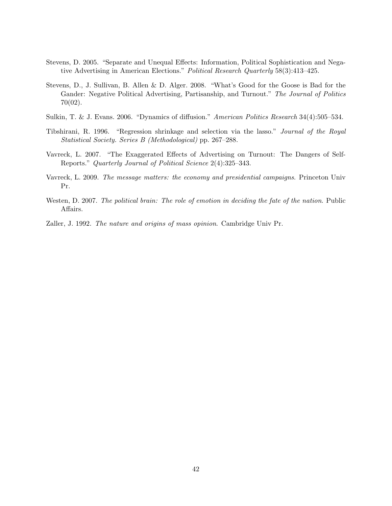- Stevens, D. 2005. "Separate and Unequal Effects: Information, Political Sophistication and Negative Advertising in American Elections." Political Research Quarterly 58(3):413–425.
- Stevens, D., J. Sullivan, B. Allen & D. Alger. 2008. "What's Good for the Goose is Bad for the Gander: Negative Political Advertising, Partisanship, and Turnout." The Journal of Politics 70(02).
- Sulkin, T. & J. Evans. 2006. "Dynamics of diffusion." American Politics Research 34(4):505–534.
- Tibshirani, R. 1996. "Regression shrinkage and selection via the lasso." Journal of the Royal Statistical Society. Series B (Methodological) pp. 267–288.
- Vavreck, L. 2007. "The Exaggerated Effects of Advertising on Turnout: The Dangers of Self-Reports." Quarterly Journal of Political Science 2(4):325–343.
- Vavreck, L. 2009. The message matters: the economy and presidential campaigns. Princeton Univ Pr.
- Westen, D. 2007. The political brain: The role of emotion in deciding the fate of the nation. Public Affairs.
- Zaller, J. 1992. The nature and origins of mass opinion. Cambridge Univ Pr.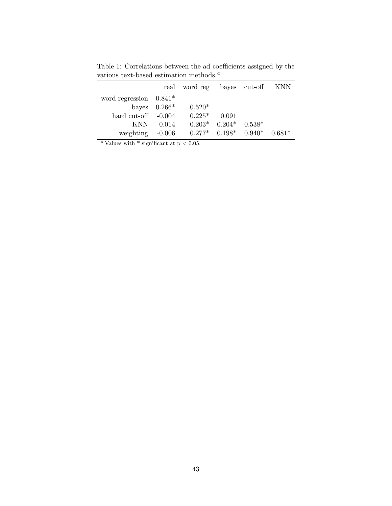|                          |                | real word reg |                               | bayes cut-off KNN |          |
|--------------------------|----------------|---------------|-------------------------------|-------------------|----------|
| word regression $0.841*$ |                |               |                               |                   |          |
|                          | bayes $0.266*$ | $0.520*$      |                               |                   |          |
| hard cut-off $-0.004$    |                | $0.225*$      | 0.091                         |                   |          |
| <b>KNN</b>               | 0.014          |               | $0.203^*$ $0.204^*$ $0.538^*$ |                   |          |
| weighting                | $-0.006$       |               | $0.277^*$ $0.198^*$ $0.940^*$ |                   | $0.681*$ |

Table 1: Correlations between the ad coefficients assigned by the various text-based estimation methods. $\alpha$ 

 $\frac{a}{a}$ Values with  $*$  significant at p < 0.05.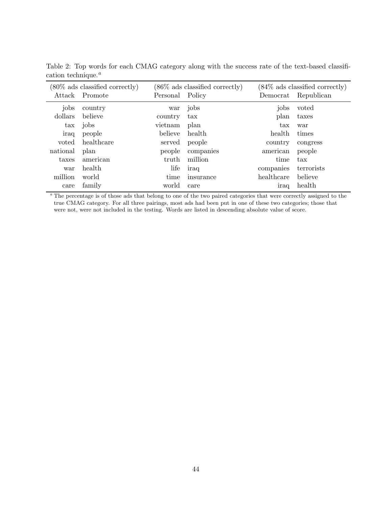| $(80\%$ ads classified correctly) |                | $(86\%$ ads classified correctly) |              | $(84\%$ ads classified correctly) |            |
|-----------------------------------|----------------|-----------------------------------|--------------|-----------------------------------|------------|
|                                   | Attack Promote | Personal Policy                   |              | Democrat                          | Republican |
| jobs                              | country        | war                               | jobs         | jobs                              | voted      |
| dollars                           | believe        | country                           | $\text{tax}$ | plan                              | taxes      |
| $\operatorname{tax}$              | jobs           | vietnam                           | plan         | $\text{tax}$                      | war        |
| iraq                              | people         | believe                           | health       | health                            | times      |
| voted                             | healthcare     | served                            | people       | country                           | congress   |
| national                          | plan           | people                            | companies    | american                          | people     |
| taxes                             | american       | truth                             | million      | time                              | tax        |
| war                               | health         | life                              | iraq         | companies                         | terrorists |
| million                           | world          | time                              | insurance    | healthcare                        | believe    |
| care                              | family         | world                             | care         | iraq                              | health     |

Table 2: Top words for each CMAG category along with the success rate of the text-based classification technique. $^a$ 

<sup>a</sup> The percentage is of those ads that belong to one of the two paired categories that were correctly assigned to the true CMAG category. For all three pairings, most ads had been put in one of these two categories; those that were not, were not included in the testing. Words are listed in descending absolute value of score.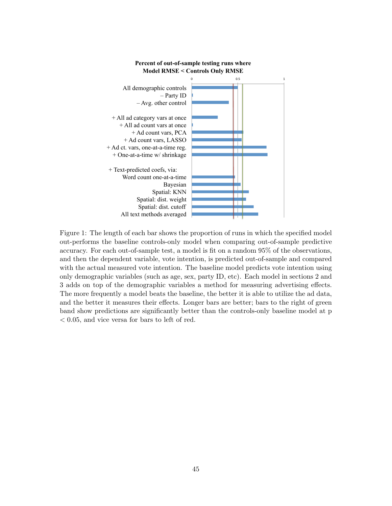

**Percent of out-of-sample testing runs where Model RMSE < Controls Only RMSE** 

Figure 1: The length of each bar shows the proportion of runs in which the specified model out-performs the baseline controls-only model when comparing out-of-sample predictive accuracy. For each out-of-sample test, a model is fit on a random 95% of the observations, and then the dependent variable, vote intention, is predicted out-of-sample and compared with the actual measured vote intention. The baseline model predicts vote intention using only demographic variables (such as age, sex, party ID, etc). Each model in sections 2 and 3 adds on top of the demographic variables a method for measuring advertising effects. The more frequently a model beats the baseline, the better it is able to utilize the ad data, and the better it measures their effects. Longer bars are better; bars to the right of green band show predictions are significantly better than the controls-only baseline model at p < 0.05, and vice versa for bars to left of red.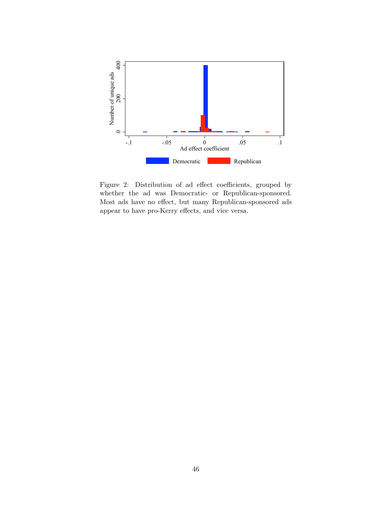

Figure 2: Distribution of ad effect coefficients, grouped by whether the ad was Democratic- or Republican-sponsored. Most ads have no effect, but many Republican-sponsored ads appear to have pro-Kerry effects, and vice versa.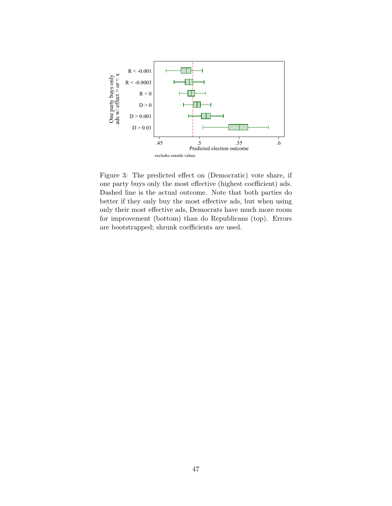

Figure 3: The predicted effect on (Democratic) vote share, if one party buys only the most effective (highest coefficient) ads. Dashed line is the actual outcome. Note that both parties do better if they only buy the most effective ads, but when using only their most effective ads, Democrats have much more room for improvement (bottom) than do Republicans (top). Errors are bootstrapped; shrunk coefficients are used.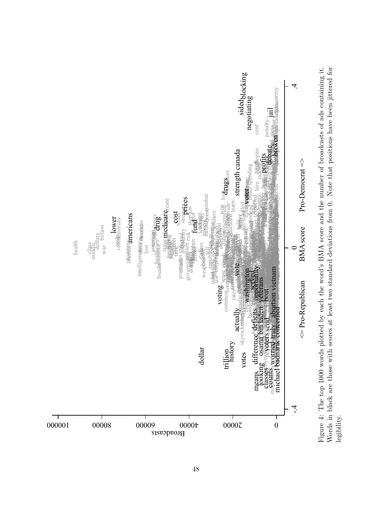

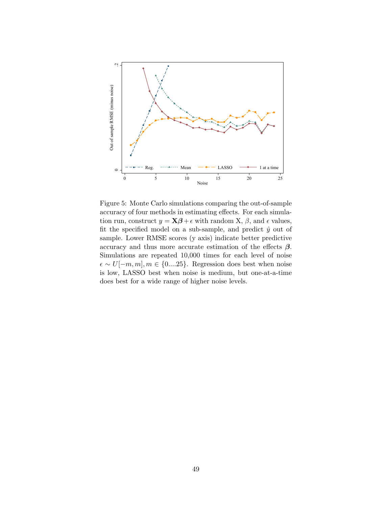

Figure 5: Monte Carlo simulations comparing the out-of-sample accuracy of four methods in estimating effects. For each simulation run, construct  $y = \mathbf{X}\boldsymbol{\beta} + \epsilon$  with random X,  $\beta$ , and  $\epsilon$  values, fit the specified model on a sub-sample, and predict  $\hat{y}$  out of sample. Lower RMSE scores (y axis) indicate better predictive accuracy and thus more accurate estimation of the effects  $\beta$ . Simulations are repeated 10,000 times for each level of noise  $\epsilon \sim U[-m, m], m \in \{0,...25\}$ . Regression does best when noise is low, LASSO best when noise is medium, but one-at-a-time does best for a wide range of higher noise levels.